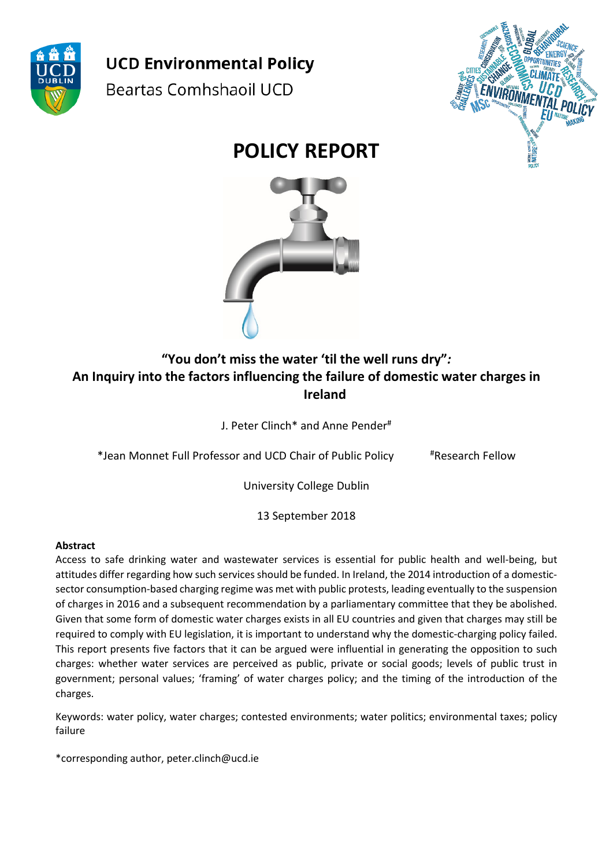

**UCD Environmental Policy** Beartas Comhshaoil UCD



# **POLICY REPORT**



## **"You don't miss the water 'til the well runs dry"***:* **An Inquiry into the factors influencing the failure of domestic water charges in Ireland**

J. Peter Clinch\* and Anne Pender#

\*Jean Monnet Full Professor and UCD Chair of Public Policy #Research Fellow

University College Dublin

13 September 2018

#### **Abstract**

Access to safe drinking water and wastewater services is essential for public health and well-being, but attitudes differ regarding how such services should be funded. In Ireland, the 2014 introduction of a domesticsector consumption-based charging regime was met with public protests, leading eventually to the suspension of charges in 2016 and a subsequent recommendation by a parliamentary committee that they be abolished. Given that some form of domestic water charges exists in all EU countries and given that charges may still be required to comply with EU legislation, it is important to understand why the domestic-charging policy failed. This report presents five factors that it can be argued were influential in generating the opposition to such charges: whether water services are perceived as public, private or social goods; levels of public trust in government; personal values; 'framing' of water charges policy; and the timing of the introduction of the charges.

Keywords: water policy, water charges; contested environments; water politics; environmental taxes; policy failure

\*corresponding author, peter.clinch@ucd.ie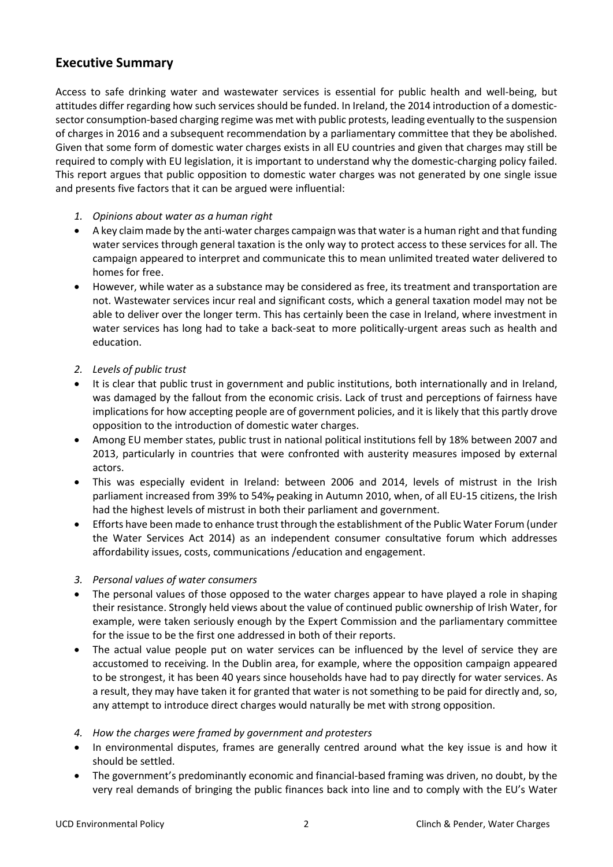### **Executive Summary**

Access to safe drinking water and wastewater services is essential for public health and well-being, but attitudes differ regarding how such services should be funded. In Ireland, the 2014 introduction of a domesticsector consumption-based charging regime was met with public protests, leading eventually to the suspension of charges in 2016 and a subsequent recommendation by a parliamentary committee that they be abolished. Given that some form of domestic water charges exists in all EU countries and given that charges may still be required to comply with EU legislation, it is important to understand why the domestic-charging policy failed. This report argues that public opposition to domestic water charges was not generated by one single issue and presents five factors that it can be argued were influential:

- *1. Opinions about water as a human right*
- A key claim made by the anti-water charges campaign was that water is a human right and that funding water services through general taxation is the only way to protect access to these services for all. The campaign appeared to interpret and communicate this to mean unlimited treated water delivered to homes for free.
- However, while water as a substance may be considered as free, its treatment and transportation are not. Wastewater services incur real and significant costs, which a general taxation model may not be able to deliver over the longer term. This has certainly been the case in Ireland, where investment in water services has long had to take a back-seat to more politically-urgent areas such as health and education.
- *2. Levels of public trust*
- It is clear that public trust in government and public institutions, both internationally and in Ireland, was damaged by the fallout from the economic crisis. Lack of trust and perceptions of fairness have implications for how accepting people are of government policies, and it is likely that this partly drove opposition to the introduction of domestic water charges.
- Among EU member states, public trust in national political institutions fell by 18% between 2007 and 2013, particularly in countries that were confronted with austerity measures imposed by external actors.
- This was especially evident in Ireland: between 2006 and 2014, levels of mistrust in the Irish parliament increased from 39% to 54%, peaking in Autumn 2010, when, of all EU-15 citizens, the Irish had the highest levels of mistrust in both their parliament and government.
- Efforts have been made to enhance trust through the establishment of the Public Water Forum (under the Water Services Act 2014) as an independent consumer consultative forum which addresses affordability issues, costs, communications /education and engagement.
- *3. Personal values of water consumers*
- The personal values of those opposed to the water charges appear to have played a role in shaping their resistance. Strongly held views about the value of continued public ownership of Irish Water, for example, were taken seriously enough by the Expert Commission and the parliamentary committee for the issue to be the first one addressed in both of their reports.
- The actual value people put on water services can be influenced by the level of service they are accustomed to receiving. In the Dublin area, for example, where the opposition campaign appeared to be strongest, it has been 40 years since households have had to pay directly for water services. As a result, they may have taken it for granted that water is not something to be paid for directly and, so, any attempt to introduce direct charges would naturally be met with strong opposition.
- *4. How the charges were framed by government and protesters*
- In environmental disputes, frames are generally centred around what the key issue is and how it should be settled.
- The government's predominantly economic and financial-based framing was driven, no doubt, by the very real demands of bringing the public finances back into line and to comply with the EU's Water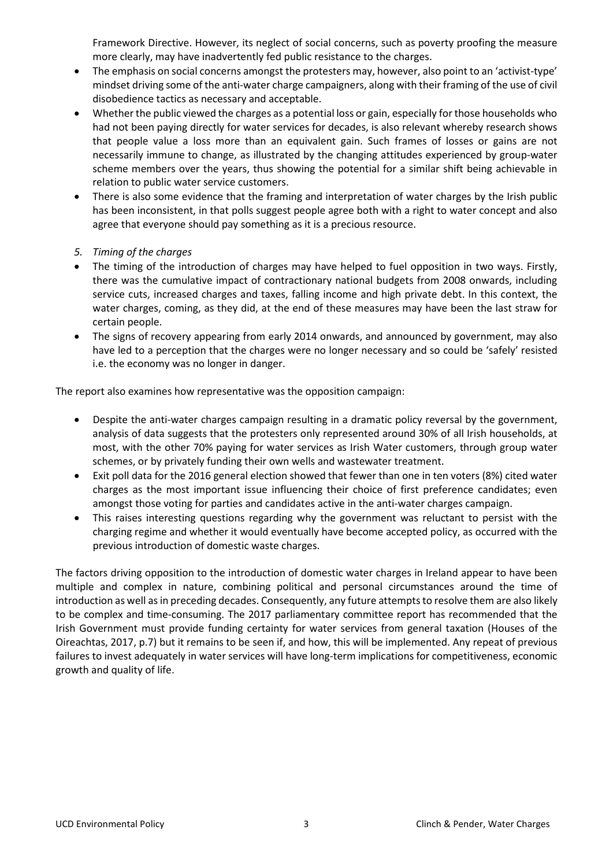Framework Directive. However, its neglect of social concerns, such as poverty proofing the measure more clearly, may have inadvertently fed public resistance to the charges.

- The emphasis on social concerns amongst the protesters may, however, also point to an 'activist-type' mindset driving some of the anti-water charge campaigners, along with their framing of the use of civil disobedience tactics as necessary and acceptable.
- Whether the public viewed the charges as a potential loss or gain, especially for those households who had not been paying directly for water services for decades, is also relevant whereby research shows that people value a loss more than an equivalent gain. Such frames of losses or gains are not necessarily immune to change, as illustrated by the changing attitudes experienced by group-water scheme members over the years, thus showing the potential for a similar shift being achievable in relation to public water service customers.
- There is also some evidence that the framing and interpretation of water charges by the Irish public has been inconsistent, in that polls suggest people agree both with a right to water concept and also agree that everyone should pay something as it is a precious resource.
- *5. Timing of the charges*
- The timing of the introduction of charges may have helped to fuel opposition in two ways. Firstly, there was the cumulative impact of contractionary national budgets from 2008 onwards, including service cuts, increased charges and taxes, falling income and high private debt. In this context, the water charges, coming, as they did, at the end of these measures may have been the last straw for certain people.
- The signs of recovery appearing from early 2014 onwards, and announced by government, may also have led to a perception that the charges were no longer necessary and so could be 'safely' resisted i.e. the economy was no longer in danger.

The report also examines how representative was the opposition campaign:

- Despite the anti-water charges campaign resulting in a dramatic policy reversal by the government, analysis of data suggests that the protesters only represented around 30% of all Irish households, at most, with the other 70% paying for water services as Irish Water customers, through group water schemes, or by privately funding their own wells and wastewater treatment.
- Exit poll data for the 2016 general election showed that fewer than one in ten voters (8%) cited water charges as the most important issue influencing their choice of first preference candidates; even amongst those voting for parties and candidates active in the anti-water charges campaign.
- This raises interesting questions regarding why the government was reluctant to persist with the charging regime and whether it would eventually have become accepted policy, as occurred with the previous introduction of domestic waste charges.

The factors driving opposition to the introduction of domestic water charges in Ireland appear to have been multiple and complex in nature, combining political and personal circumstances around the time of introduction as well as in preceding decades. Consequently, any future attempts to resolve them are also likely to be complex and time-consuming. The 2017 parliamentary committee report has recommended that the Irish Government must provide funding certainty for water services from general taxation (Houses of the Oireachtas, 2017, p.7) but it remains to be seen if, and how, this will be implemented. Any repeat of previous failures to invest adequately in water services will have long-term implications for competitiveness, economic growth and quality of life.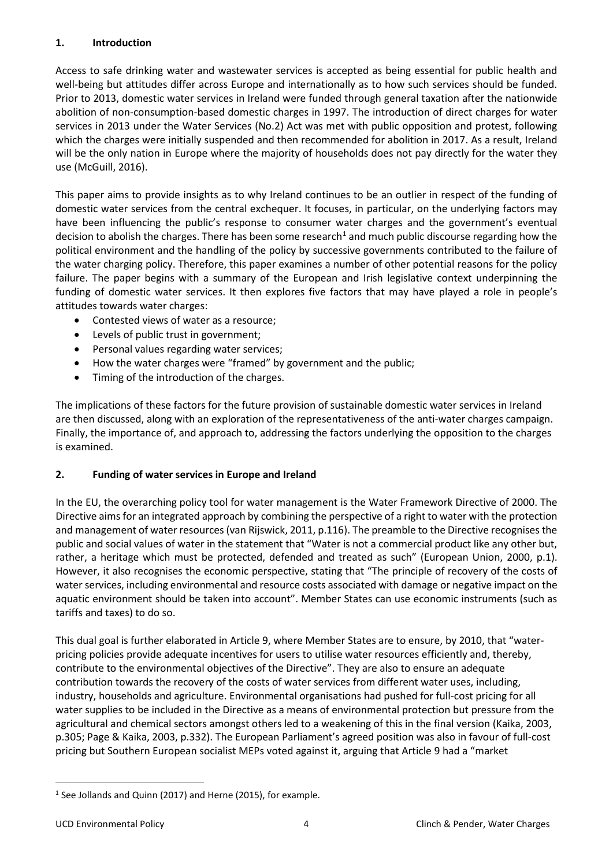#### **1. Introduction**

Access to safe drinking water and wastewater services is accepted as being essential for public health and well-being but attitudes differ across Europe and internationally as to how such services should be funded. Prior to 2013, domestic water services in Ireland were funded through general taxation after the nationwide abolition of non-consumption-based domestic charges in 1997. The introduction of direct charges for water services in 2013 under the Water Services (No.2) Act was met with public opposition and protest, following which the charges were initially suspended and then recommended for abolition in 2017. As a result, Ireland will be the only nation in Europe where the majority of households does not pay directly for the water they use (McGuill, 2016).

This paper aims to provide insights as to why Ireland continues to be an outlier in respect of the funding of domestic water services from the central exchequer. It focuses, in particular, on the underlying factors may have been influencing the public's response to consumer water charges and the government's eventual decision to abolish the charges. There has been some research<sup>[1](#page-3-0)</sup> and much public discourse regarding how the political environment and the handling of the policy by successive governments contributed to the failure of the water charging policy. Therefore, this paper examines a number of other potential reasons for the policy failure. The paper begins with a summary of the European and Irish legislative context underpinning the funding of domestic water services. It then explores five factors that may have played a role in people's attitudes towards water charges:

- Contested views of water as a resource;
- Levels of public trust in government;
- Personal values regarding water services;
- How the water charges were "framed" by government and the public;
- Timing of the introduction of the charges.

The implications of these factors for the future provision of sustainable domestic water services in Ireland are then discussed, along with an exploration of the representativeness of the anti-water charges campaign. Finally, the importance of, and approach to, addressing the factors underlying the opposition to the charges is examined.

#### **2. Funding of water services in Europe and Ireland**

In the EU, the overarching policy tool for water management is the Water Framework Directive of 2000. The Directive aims for an integrated approach by combining the perspective of a right to water with the protection and management of water resources (van Rijswick, 2011, p.116). The preamble to the Directive recognises the public and social values of water in the statement that "Water is not a commercial product like any other but, rather, a heritage which must be protected, defended and treated as such" (European Union, 2000, p.1). However, it also recognises the economic perspective, stating that "The principle of recovery of the costs of water services, including environmental and resource costs associated with damage or negative impact on the aquatic environment should be taken into account". Member States can use economic instruments (such as tariffs and taxes) to do so.

This dual goal is further elaborated in Article 9, where Member States are to ensure, by 2010, that "waterpricing policies provide adequate incentives for users to utilise water resources efficiently and, thereby, contribute to the environmental objectives of the Directive". They are also to ensure an adequate contribution towards the recovery of the costs of water services from different water uses, including, industry, households and agriculture. Environmental organisations had pushed for full-cost pricing for all water supplies to be included in the Directive as a means of environmental protection but pressure from the agricultural and chemical sectors amongst others led to a weakening of this in the final version (Kaika, 2003, p.305; Page & Kaika, 2003, p.332). The European Parliament's agreed position was also in favour of full-cost pricing but Southern European socialist MEPs voted against it, arguing that Article 9 had a "market

<span id="page-3-0"></span> $1$  See Jollands and Quinn (2017) and Herne (2015), for example.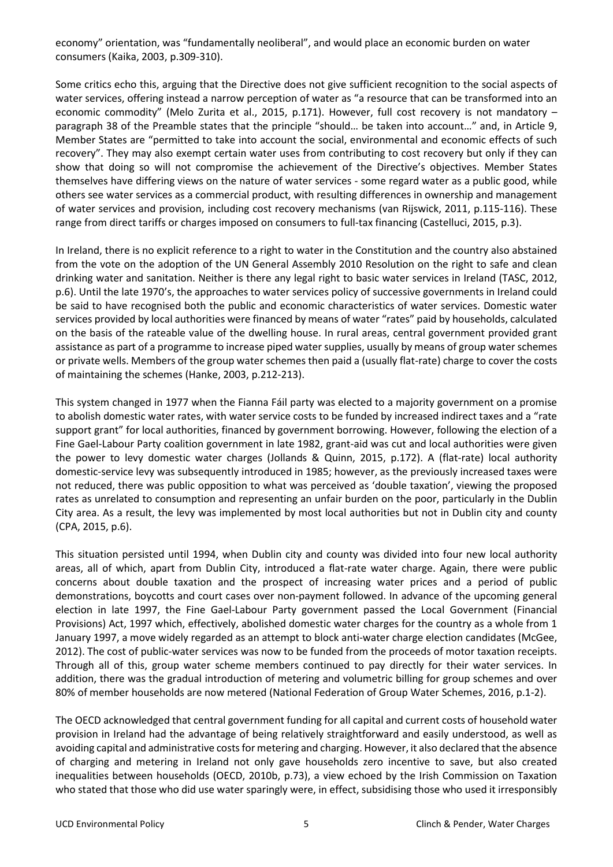economy" orientation, was "fundamentally neoliberal", and would place an economic burden on water consumers (Kaika, 2003, p.309-310).

Some critics echo this, arguing that the Directive does not give sufficient recognition to the social aspects of water services, offering instead a narrow perception of water as "a resource that can be transformed into an economic commodity" (Melo Zurita et al., 2015, p.171). However, full cost recovery is not mandatory – paragraph 38 of the Preamble states that the principle "should… be taken into account…" and, in Article 9, Member States are "permitted to take into account the social, environmental and economic effects of such recovery". They may also exempt certain water uses from contributing to cost recovery but only if they can show that doing so will not compromise the achievement of the Directive's objectives. Member States themselves have differing views on the nature of water services - some regard water as a public good, while others see water services as a commercial product, with resulting differences in ownership and management of water services and provision, including cost recovery mechanisms (van Rijswick, 2011, p.115-116). These range from direct tariffs or charges imposed on consumers to full-tax financing (Castelluci, 2015, p.3).

In Ireland, there is no explicit reference to a right to water in the Constitution and the country also abstained from the vote on the adoption of the UN General Assembly 2010 Resolution on the right to safe and clean drinking water and sanitation. Neither is there any legal right to basic water services in Ireland (TASC, 2012, p.6). Until the late 1970's, the approaches to water services policy of successive governments in Ireland could be said to have recognised both the public and economic characteristics of water services. Domestic water services provided by local authorities were financed by means of water "rates" paid by households, calculated on the basis of the rateable value of the dwelling house. In rural areas, central government provided grant assistance as part of a programme to increase piped water supplies, usually by means of group water schemes or private wells. Members of the group water schemes then paid a (usually flat-rate) charge to cover the costs of maintaining the schemes (Hanke, 2003, p.212-213).

This system changed in 1977 when the Fianna Fáil party was elected to a majority government on a promise to abolish domestic water rates, with water service costs to be funded by increased indirect taxes and a "rate support grant" for local authorities, financed by government borrowing. However, following the election of a Fine Gael-Labour Party coalition government in late 1982, grant-aid was cut and local authorities were given the power to levy domestic water charges (Jollands & Quinn, 2015, p.172). A (flat-rate) local authority domestic-service levy was subsequently introduced in 1985; however, as the previously increased taxes were not reduced, there was public opposition to what was perceived as 'double taxation', viewing the proposed rates as unrelated to consumption and representing an unfair burden on the poor, particularly in the Dublin City area. As a result, the levy was implemented by most local authorities but not in Dublin city and county (CPA, 2015, p.6).

This situation persisted until 1994, when Dublin city and county was divided into four new local authority areas, all of which, apart from Dublin City, introduced a flat-rate water charge. Again, there were public concerns about double taxation and the prospect of increasing water prices and a period of public demonstrations, boycotts and court cases over non-payment followed. In advance of the upcoming general election in late 1997, the Fine Gael-Labour Party government passed the Local Government (Financial Provisions) Act, 1997 which, effectively, abolished domestic water charges for the country as a whole from 1 January 1997, a move widely regarded as an attempt to block anti-water charge election candidates (McGee, 2012). The cost of public-water services was now to be funded from the proceeds of motor taxation receipts. Through all of this, group water scheme members continued to pay directly for their water services. In addition, there was the gradual introduction of metering and volumetric billing for group schemes and over 80% of member households are now metered (National Federation of Group Water Schemes, 2016, p.1-2).

The OECD acknowledged that central government funding for all capital and current costs of household water provision in Ireland had the advantage of being relatively straightforward and easily understood, as well as avoiding capital and administrative costs for metering and charging. However, it also declared that the absence of charging and metering in Ireland not only gave households zero incentive to save, but also created inequalities between households (OECD, 2010b, p.73), a view echoed by the Irish Commission on Taxation who stated that those who did use water sparingly were, in effect, subsidising those who used it irresponsibly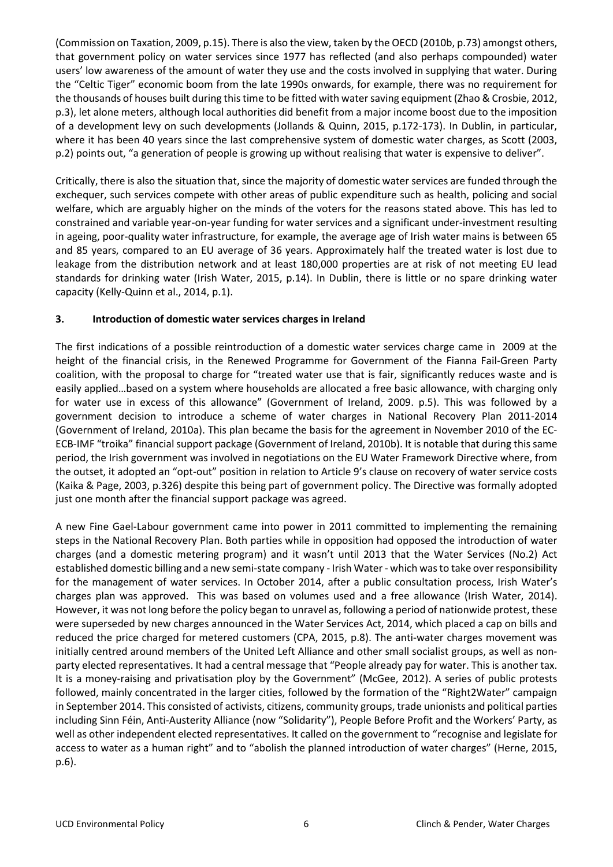(Commission on Taxation, 2009, p.15). There is also the view, taken by the OECD (2010b, p.73) amongst others, that government policy on water services since 1977 has reflected (and also perhaps compounded) water users' low awareness of the amount of water they use and the costs involved in supplying that water. During the "Celtic Tiger" economic boom from the late 1990s onwards, for example, there was no requirement for the thousands of houses built during this time to be fitted with water saving equipment (Zhao & Crosbie, 2012, p.3), let alone meters, although local authorities did benefit from a major income boost due to the imposition of a development levy on such developments (Jollands & Quinn, 2015, p.172-173). In Dublin, in particular, where it has been 40 years since the last comprehensive system of domestic water charges, as Scott (2003, p.2) points out, "a generation of people is growing up without realising that water is expensive to deliver".

Critically, there is also the situation that, since the majority of domestic water services are funded through the exchequer, such services compete with other areas of public expenditure such as health, policing and social welfare, which are arguably higher on the minds of the voters for the reasons stated above. This has led to constrained and variable year-on-year funding for water services and a significant under-investment resulting in ageing, poor-quality water infrastructure, for example, the average age of Irish water mains is between 65 and 85 years, compared to an EU average of 36 years. Approximately half the treated water is lost due to leakage from the distribution network and at least 180,000 properties are at risk of not meeting EU lead standards for drinking water (Irish Water, 2015, p.14). In Dublin, there is little or no spare drinking water capacity (Kelly-Quinn et al., 2014, p.1).

#### **3. Introduction of domestic water services charges in Ireland**

The first indications of a possible reintroduction of a domestic water services charge came in 2009 at the height of the financial crisis, in the Renewed Programme for Government of the Fianna Fail-Green Party coalition, with the proposal to charge for "treated water use that is fair, significantly reduces waste and is easily applied…based on a system where households are allocated a free basic allowance, with charging only for water use in excess of this allowance" (Government of Ireland, 2009. p.5). This was followed by a government decision to introduce a scheme of water charges in National Recovery Plan 2011-2014 (Government of Ireland, 2010a). This plan became the basis for the agreement in November 2010 of the EC-ECB-IMF "troika" financial support package (Government of Ireland, 2010b). It is notable that during this same period, the Irish government was involved in negotiations on the EU Water Framework Directive where, from the outset, it adopted an "opt-out" position in relation to Article 9's clause on recovery of water service costs (Kaika & Page, 2003, p.326) despite this being part of government policy. The Directive was formally adopted just one month after the financial support package was agreed.

A new Fine Gael-Labour government came into power in 2011 committed to implementing the remaining steps in the National Recovery Plan. Both parties while in opposition had opposed the introduction of water charges (and a domestic metering program) and it wasn't until 2013 that the Water Services (No.2) Act established domestic billing and a new semi-state company - Irish Water - which was to take over responsibility for the management of water services. In October 2014, after a public consultation process, Irish Water's charges plan was approved. This was based on volumes used and a free allowance (Irish Water, 2014). However, it was not long before the policy began to unravel as, following a period of nationwide protest, these were superseded by new charges announced in the Water Services Act, 2014, which placed a cap on bills and reduced the price charged for metered customers (CPA, 2015, p.8). The anti-water charges movement was initially centred around members of the United Left Alliance and other small socialist groups, as well as nonparty elected representatives. It had a central message that "People already pay for water. This is another tax. It is a money-raising and privatisation ploy by the Government" (McGee, 2012). A series of public protests followed, mainly concentrated in the larger cities, followed by the formation of the "Right2Water" campaign in September 2014. This consisted of activists, citizens, community groups, trade unionists and political parties including Sinn Féin, Anti-Austerity Alliance (now "Solidarity"), People Before Profit and the Workers' Party, as well as other independent elected representatives. It called on the government to "recognise and legislate for access to water as a human right" and to "abolish the planned introduction of water charges" (Herne, 2015, p.6).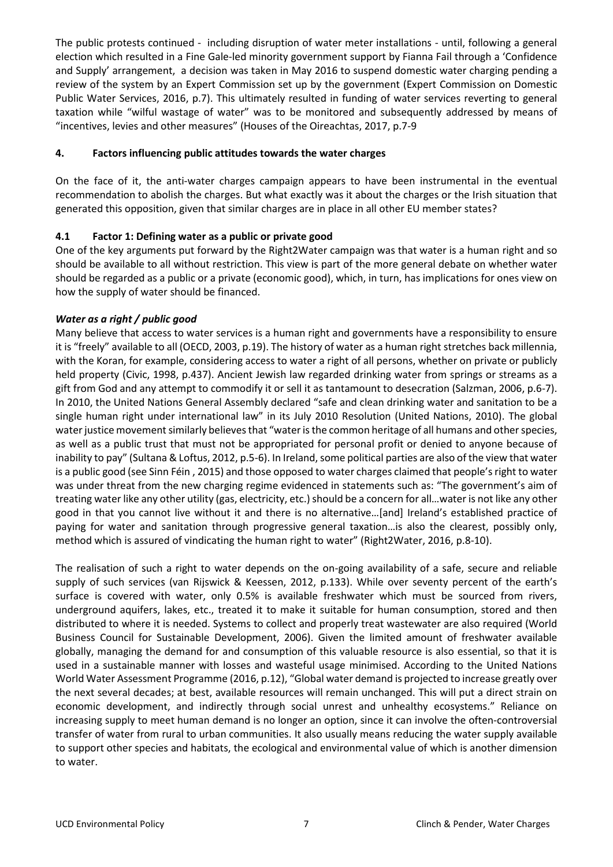The public protests continued - including disruption of water meter installations - until, following a general election which resulted in a Fine Gale-led minority government support by Fianna Fail through a 'Confidence and Supply' arrangement, a decision was taken in May 2016 to suspend domestic water charging pending a review of the system by an Expert Commission set up by the government (Expert Commission on Domestic Public Water Services, 2016, p.7). This ultimately resulted in funding of water services reverting to general taxation while "wilful wastage of water" was to be monitored and subsequently addressed by means of "incentives, levies and other measures" (Houses of the Oireachtas, 2017, p.7-9

#### **4. Factors influencing public attitudes towards the water charges**

On the face of it, the anti-water charges campaign appears to have been instrumental in the eventual recommendation to abolish the charges. But what exactly was it about the charges or the Irish situation that generated this opposition, given that similar charges are in place in all other EU member states?

#### **4.1 Factor 1: Defining water as a public or private good**

One of the key arguments put forward by the Right2Water campaign was that water is a human right and so should be available to all without restriction. This view is part of the more general debate on whether water should be regarded as a public or a private (economic good), which, in turn, has implications for ones view on how the supply of water should be financed.

#### *Water as a right / public good*

Many believe that access to water services is a human right and governments have a responsibility to ensure it is "freely" available to all (OECD, 2003, p.19). The history of water as a human right stretches back millennia, with the Koran, for example, considering access to water a right of all persons, whether on private or publicly held property (Civic, 1998, p.437). Ancient Jewish law regarded drinking water from springs or streams as a gift from God and any attempt to commodify it or sell it as tantamount to desecration (Salzman, 2006, p.6-7). In 2010, the United Nations General Assembly declared "safe and clean drinking water and sanitation to be a single human right under international law" in its July 2010 Resolution (United Nations, 2010). The global water justice movement similarly believes that "water is the common heritage of all humans and other species, as well as a public trust that must not be appropriated for personal profit or denied to anyone because of inability to pay" (Sultana & Loftus, 2012, p.5-6). In Ireland, some political parties are also of the view that water is a public good (see Sinn Féin , 2015) and those opposed to water charges claimed that people's right to water was under threat from the new charging regime evidenced in statements such as: "The government's aim of treating water like any other utility (gas, electricity, etc.) should be a concern for all…water is not like any other good in that you cannot live without it and there is no alternative…[and] Ireland's established practice of paying for water and sanitation through progressive general taxation…is also the clearest, possibly only, method which is assured of vindicating the human right to water" (Right2Water, 2016, p.8-10).

The realisation of such a right to water depends on the on-going availability of a safe, secure and reliable supply of such services (van Rijswick & Keessen, 2012, p.133). While over seventy percent of the earth's surface is covered with water, only 0.5% is available freshwater which must be sourced from rivers, underground aquifers, lakes, etc., treated it to make it suitable for human consumption, stored and then distributed to where it is needed. Systems to collect and properly treat wastewater are also required (World Business Council for Sustainable Development, 2006). Given the limited amount of freshwater available globally, managing the demand for and consumption of this valuable resource is also essential, so that it is used in a sustainable manner with losses and wasteful usage minimised. According to the United Nations World Water Assessment Programme (2016, p.12), "Global water demand is projected to increase greatly over the next several decades; at best, available resources will remain unchanged. This will put a direct strain on economic development, and indirectly through social unrest and unhealthy ecosystems." Reliance on increasing supply to meet human demand is no longer an option, since it can involve the often-controversial transfer of water from rural to urban communities. It also usually means reducing the water supply available to support other species and habitats, the ecological and environmental value of which is another dimension to water.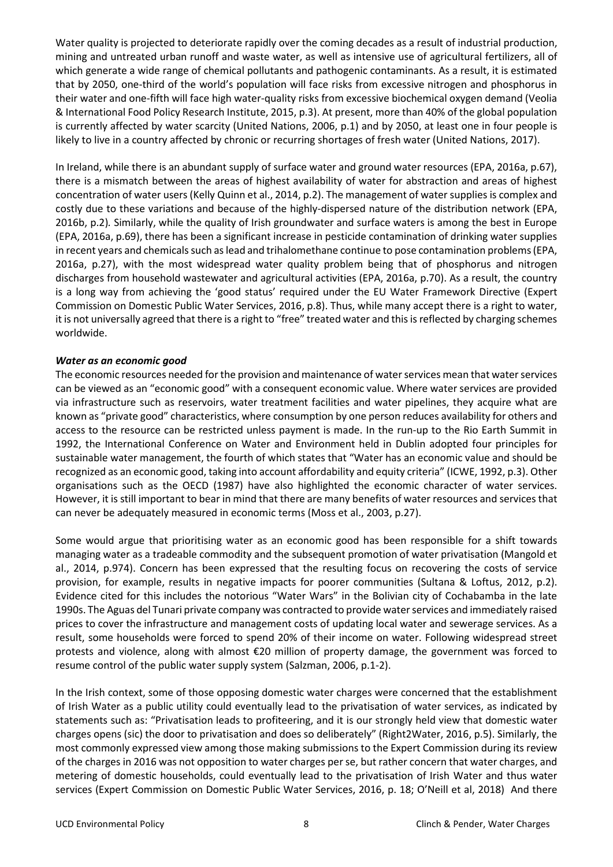Water quality is projected to deteriorate rapidly over the coming decades as a result of industrial production, mining and untreated urban runoff and waste water, as well as intensive use of agricultural fertilizers, all of which generate a wide range of chemical pollutants and pathogenic contaminants. As a result, it is estimated that by 2050, one-third of the world's population will face risks from excessive nitrogen and phosphorus in their water and one-fifth will face high water-quality risks from excessive biochemical oxygen demand (Veolia & International Food Policy Research Institute, 2015, p.3). At present, more than 40% of the global population is currently affected by water scarcity (United Nations, 2006, p.1) and by 2050, at least one in four people is likely to live in a country affected by chronic or recurring shortages of fresh water (United Nations, 2017).

In Ireland, while there is an abundant supply of surface water and ground water resources (EPA, 2016a, p.67), there is a mismatch between the areas of highest availability of water for abstraction and areas of highest concentration of water users (Kelly Quinn et al., 2014, p.2). The management of water supplies is complex and costly due to these variations and because of the highly-dispersed nature of the distribution network (EPA, 2016b, p.2)*.* Similarly, while the quality of Irish groundwater and surface waters is among the best in Europe (EPA, 2016a, p.69), there has been a significant increase in pesticide contamination of drinking water supplies in recent years and chemicals such as lead and trihalomethane continue to pose contamination problems (EPA, 2016a, p.27), with the most widespread water quality problem being that of phosphorus and nitrogen discharges from household wastewater and agricultural activities (EPA, 2016a, p.70). As a result, the country is a long way from achieving the 'good status' required under the EU Water Framework Directive (Expert Commission on Domestic Public Water Services, 2016, p.8). Thus, while many accept there is a right to water, it is not universally agreed that there is a right to "free" treated water and this is reflected by charging schemes worldwide.

#### *Water as an economic good*

The economic resources needed for the provision and maintenance of water services mean that water services can be viewed as an "economic good" with a consequent economic value. Where water services are provided via infrastructure such as reservoirs, water treatment facilities and water pipelines, they acquire what are known as "private good" characteristics, where consumption by one person reduces availability for others and access to the resource can be restricted unless payment is made. In the run-up to the Rio Earth Summit in 1992, the International Conference on Water and Environment held in Dublin adopted four principles for sustainable water management, the fourth of which states that "Water has an economic value and should be recognized as an economic good, taking into account affordability and equity criteria" (ICWE, 1992, p.3). Other organisations such as the OECD (1987) have also highlighted the economic character of water services. However, it is still important to bear in mind that there are many benefits of water resources and services that can never be adequately measured in economic terms (Moss et al., 2003, p.27).

Some would argue that prioritising water as an economic good has been responsible for a shift towards managing water as a tradeable commodity and the subsequent promotion of water privatisation (Mangold et al., 2014, p.974). Concern has been expressed that the resulting focus on recovering the costs of service provision, for example, results in negative impacts for poorer communities (Sultana & Loftus, 2012, p.2). Evidence cited for this includes the notorious "Water Wars" in the Bolivian city of Cochabamba in the late 1990s. The Aguas del Tunari private company was contracted to provide water services and immediately raised prices to cover the infrastructure and management costs of updating local water and sewerage services. As a result, some households were forced to spend 20% of their income on water. Following widespread street protests and violence, along with almost €20 million of property damage, the government was forced to resume control of the public water supply system (Salzman, 2006, p.1-2).

In the Irish context, some of those opposing domestic water charges were concerned that the establishment of Irish Water as a public utility could eventually lead to the privatisation of water services, as indicated by statements such as: "Privatisation leads to profiteering, and it is our strongly held view that domestic water charges opens (sic) the door to privatisation and does so deliberately" (Right2Water, 2016, p.5). Similarly, the most commonly expressed view among those making submissions to the Expert Commission during its review of the charges in 2016 was not opposition to water charges per se, but rather concern that water charges, and metering of domestic households, could eventually lead to the privatisation of Irish Water and thus water services (Expert Commission on Domestic Public Water Services, 2016, p. 18; O'Neill et al, 2018) And there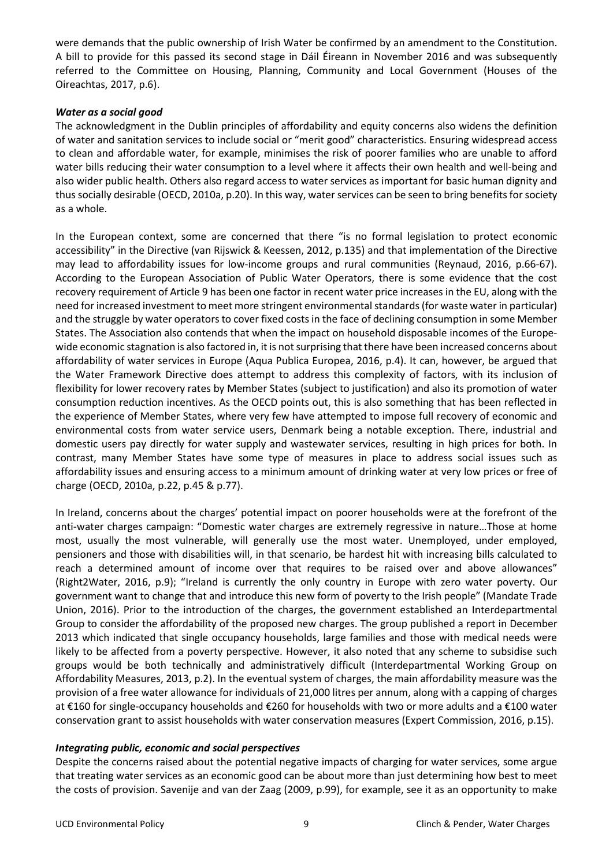were demands that the public ownership of Irish Water be confirmed by an amendment to the Constitution. A bill to provide for this passed its second stage in Dáil Éireann in November 2016 and was subsequently referred to the Committee on Housing, Planning, Community and Local Government (Houses of the Oireachtas, 2017, p.6).

#### *Water as a social good*

The acknowledgment in the Dublin principles of affordability and equity concerns also widens the definition of water and sanitation services to include social or "merit good" characteristics. Ensuring widespread access to clean and affordable water, for example, minimises the risk of poorer families who are unable to afford water bills reducing their water consumption to a level where it affects their own health and well-being and also wider public health. Others also regard access to water services as important for basic human dignity and thus socially desirable (OECD, 2010a, p.20). In this way, water services can be seen to bring benefits for society as a whole.

In the European context, some are concerned that there "is no formal legislation to protect economic accessibility" in the Directive (van Rijswick & Keessen, 2012, p.135) and that implementation of the Directive may lead to affordability issues for low-income groups and rural communities (Reynaud, 2016, p.66-67). According to the European Association of Public Water Operators, there is some evidence that the cost recovery requirement of Article 9 has been one factor in recent water price increases in the EU, along with the need for increased investment to meet more stringent environmental standards (for waste water in particular) and the struggle by water operators to cover fixed costs in the face of declining consumption in some Member States. The Association also contends that when the impact on household disposable incomes of the Europewide economic stagnation is also factored in, it is not surprising that there have been increased concerns about affordability of water services in Europe (Aqua Publica Europea, 2016, p.4). It can, however, be argued that the Water Framework Directive does attempt to address this complexity of factors, with its inclusion of flexibility for lower recovery rates by Member States (subject to justification) and also its promotion of water consumption reduction incentives. As the OECD points out, this is also something that has been reflected in the experience of Member States, where very few have attempted to impose full recovery of economic and environmental costs from water service users, Denmark being a notable exception. There, industrial and domestic users pay directly for water supply and wastewater services, resulting in high prices for both. In contrast, many Member States have some type of measures in place to address social issues such as affordability issues and ensuring access to a minimum amount of drinking water at very low prices or free of charge (OECD, 2010a, p.22, p.45 & p.77).

In Ireland, concerns about the charges' potential impact on poorer households were at the forefront of the anti-water charges campaign: "Domestic water charges are extremely regressive in nature…Those at home most, usually the most vulnerable, will generally use the most water. Unemployed, under employed, pensioners and those with disabilities will, in that scenario, be hardest hit with increasing bills calculated to reach a determined amount of income over that requires to be raised over and above allowances" (Right2Water, 2016, p.9); "Ireland is currently the only country in Europe with zero water poverty. Our government want to change that and introduce this new form of poverty to the Irish people" (Mandate Trade Union, 2016). Prior to the introduction of the charges, the government established an Interdepartmental Group to consider the affordability of the proposed new charges. The group published a report in December 2013 which indicated that single occupancy households, large families and those with medical needs were likely to be affected from a poverty perspective. However, it also noted that any scheme to subsidise such groups would be both technically and administratively difficult (Interdepartmental Working Group on Affordability Measures, 2013, p.2). In the eventual system of charges, the main affordability measure was the provision of a free water allowance for individuals of 21,000 litres per annum, along with a capping of charges at €160 for single-occupancy households and €260 for households with two or more adults and a €100 water conservation grant to assist households with water conservation measures (Expert Commission, 2016, p.15).

#### *Integrating public, economic and social perspectives*

Despite the concerns raised about the potential negative impacts of charging for water services, some argue that treating water services as an economic good can be about more than just determining how best to meet the costs of provision. Savenije and van der Zaag (2009, p.99), for example, see it as an opportunity to make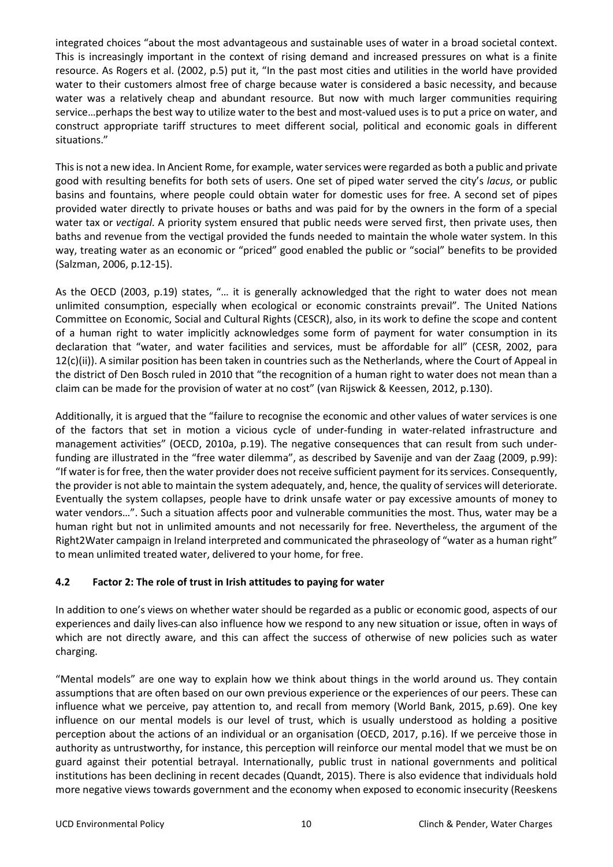integrated choices "about the most advantageous and sustainable uses of water in a broad societal context. This is increasingly important in the context of rising demand and increased pressures on what is a finite resource. As Rogers et al. (2002, p.5) put it, "In the past most cities and utilities in the world have provided water to their customers almost free of charge because water is considered a basic necessity, and because water was a relatively cheap and abundant resource. But now with much larger communities requiring service…perhaps the best way to utilize water to the best and most-valued uses is to put a price on water, and construct appropriate tariff structures to meet different social, political and economic goals in different situations."

This is not a new idea. In Ancient Rome, for example, water services were regarded as both a public and private good with resulting benefits for both sets of users. One set of piped water served the city's *lacus*, or public basins and fountains, where people could obtain water for domestic uses for free. A second set of pipes provided water directly to private houses or baths and was paid for by the owners in the form of a special water tax or *vectigal*. A priority system ensured that public needs were served first, then private uses, then baths and revenue from the vectigal provided the funds needed to maintain the whole water system. In this way, treating water as an economic or "priced" good enabled the public or "social" benefits to be provided (Salzman, 2006, p.12-15).

As the OECD (2003, p.19) states, "… it is generally acknowledged that the right to water does not mean unlimited consumption, especially when ecological or economic constraints prevail". The United Nations Committee on Economic, Social and Cultural Rights (CESCR), also, in its work to define the scope and content of a human right to water implicitly acknowledges some form of payment for water consumption in its declaration that "water, and water facilities and services, must be affordable for all" (CESR, 2002, para  $12(c)(ii)$ ). A similar position has been taken in countries such as the Netherlands, where the Court of Appeal in the district of Den Bosch ruled in 2010 that "the recognition of a human right to water does not mean than a claim can be made for the provision of water at no cost" (van Rijswick & Keessen, 2012, p.130).

Additionally, it is argued that the "failure to recognise the economic and other values of water services is one of the factors that set in motion a vicious cycle of under-funding in water-related infrastructure and management activities" (OECD, 2010a, p.19). The negative consequences that can result from such underfunding are illustrated in the "free water dilemma", as described by Savenije and van der Zaag (2009, p.99): "If water is for free, then the water provider does not receive sufficient payment for its services. Consequently, the provider is not able to maintain the system adequately, and, hence, the quality of services will deteriorate. Eventually the system collapses, people have to drink unsafe water or pay excessive amounts of money to water vendors…". Such a situation affects poor and vulnerable communities the most. Thus, water may be a human right but not in unlimited amounts and not necessarily for free. Nevertheless, the argument of the Right2Water campaign in Ireland interpreted and communicated the phraseology of "water as a human right" to mean unlimited treated water, delivered to your home, for free.

#### **4.2 Factor 2: The role of trust in Irish attitudes to paying for water**

In addition to one's views on whether water should be regarded as a public or economic good, aspects of our experiences and daily lives can also influence how we respond to any new situation or issue, often in ways of which are not directly aware, and this can affect the success of otherwise of new policies such as water charging.

"Mental models" are one way to explain how we think about things in the world around us. They contain assumptions that are often based on our own previous experience or the experiences of our peers. These can influence what we perceive, pay attention to, and recall from memory (World Bank, 2015, p.69). One key influence on our mental models is our level of trust, which is usually understood as holding a positive perception about the actions of an individual or an organisation (OECD, 2017, p.16). If we perceive those in authority as untrustworthy, for instance, this perception will reinforce our mental model that we must be on guard against their potential betrayal. Internationally, public trust in national governments and political institutions has been declining in recent decades (Quandt, 2015). There is also evidence that individuals hold more negative views towards government and the economy when exposed to economic insecurity (Reeskens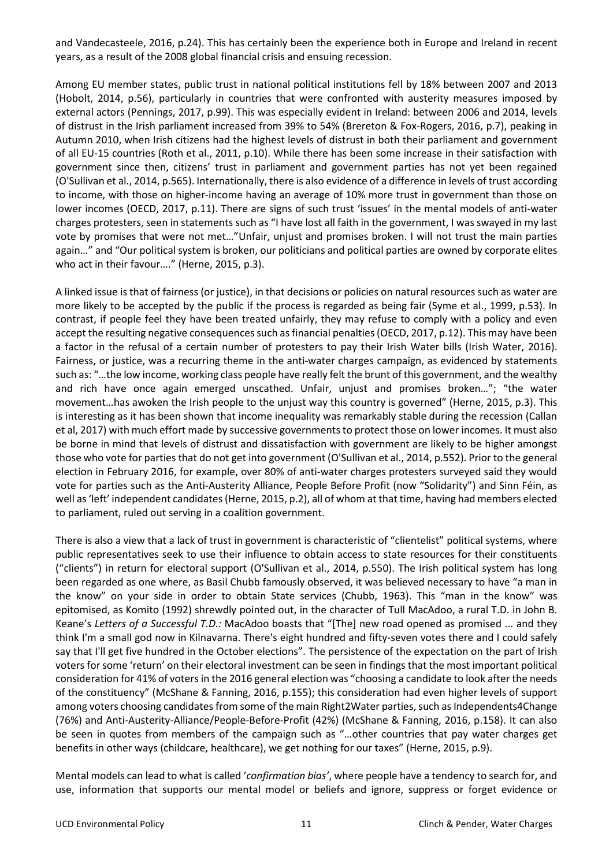and Vandecasteele, 2016, p.24). This has certainly been the experience both in Europe and Ireland in recent years, as a result of the 2008 global financial crisis and ensuing recession.

Among EU member states, public trust in national political institutions fell by 18% between 2007 and 2013 (Hobolt, 2014, p.56), particularly in countries that were confronted with austerity measures imposed by external actors (Pennings, 2017, p.99). This was especially evident in Ireland: between 2006 and 2014, levels of distrust in the Irish parliament increased from 39% to 54% (Brereton & Fox-Rogers, 2016, p.7), peaking in Autumn 2010, when Irish citizens had the highest levels of distrust in both their parliament and government of all EU-15 countries (Roth et al., 2011, p.10). While there has been some increase in their satisfaction with government since then, citizens' trust in parliament and government parties has not yet been regained (O'Sullivan et al., 2014, p.565). Internationally, there is also evidence of a difference in levels of trust according to income, with those on higher-income having an average of 10% more trust in government than those on lower incomes (OECD, 2017, p.11). There are signs of such trust 'issues' in the mental models of anti-water charges protesters, seen in statements such as "I have lost all faith in the government, I was swayed in my last vote by promises that were not met…"Unfair, unjust and promises broken. I will not trust the main parties again…" and "Our political system is broken, our politicians and political parties are owned by corporate elites who act in their favour…." (Herne, 2015, p.3).

A linked issue is that of fairness (or justice), in that decisions or policies on natural resources such as water are more likely to be accepted by the public if the process is regarded as being fair (Syme et al., 1999, p.53). In contrast, if people feel they have been treated unfairly, they may refuse to comply with a policy and even accept the resulting negative consequences such as financial penalties (OECD, 2017, p.12). This may have been a factor in the refusal of a certain number of protesters to pay their Irish Water bills (Irish Water, 2016). Fairness, or justice, was a recurring theme in the anti-water charges campaign, as evidenced by statements such as: "…the low income, working class people have really felt the brunt of this government, and the wealthy and rich have once again emerged unscathed. Unfair, unjust and promises broken…"; "the water movement…has awoken the Irish people to the unjust way this country is governed" (Herne, 2015, p.3). This is interesting as it has been shown that income inequality was remarkably stable during the recession (Callan et al, 2017) with much effort made by successive governments to protect those on lower incomes. It must also be borne in mind that levels of distrust and dissatisfaction with government are likely to be higher amongst those who vote for parties that do not get into government (O'Sullivan et al., 2014, p.552). Prior to the general election in February 2016, for example, over 80% of anti-water charges protesters surveyed said they would vote for parties such as the Anti-Austerity Alliance, People Before Profit (now "Solidarity") and Sinn Féin, as well as 'left' independent candidates (Herne, 2015, p.2), all of whom at that time, having had members elected to parliament, ruled out serving in a coalition government.

There is also a view that a lack of trust in government is characteristic of "clientelist" political systems, where public representatives seek to use their influence to obtain access to state resources for their constituents ("clients") in return for electoral support (O'Sullivan et al., 2014, p.550). The Irish political system has long been regarded as one where, as Basil Chubb famously observed, it was believed necessary to have "a man in the know" on your side in order to obtain State services (Chubb, 1963). This "man in the know" was epitomised, as Komito (1992) shrewdly pointed out, in the character of Tull MacAdoo, a rural T.D. in John B. Keane's *Letters of a Successful T.D.:* MacAdoo boasts that "[The] new road opened as promised ... and they think I'm a small god now in Kilnavarna. There's eight hundred and fifty-seven votes there and I could safely say that I'll get five hundred in the October elections". The persistence of the expectation on the part of Irish voters for some 'return' on their electoral investment can be seen in findings that the most important political consideration for 41% of voters in the 2016 general election was "choosing a candidate to look after the needs of the constituency" (McShane & Fanning, 2016, p.155); this consideration had even higher levels of support among voters choosing candidates from some of the main Right2Water parties, such as Independents4Change (76%) and Anti-Austerity-Alliance/People-Before-Profit (42%) (McShane & Fanning, 2016, p.158). It can also be seen in quotes from members of the campaign such as "…other countries that pay water charges get benefits in other ways (childcare, healthcare), we get nothing for our taxes" (Herne, 2015, p.9).

Mental models can lead to what is called '*confirmation bias'*, where people have a tendency to search for, and use, information that supports our mental model or beliefs and ignore, suppress or forget evidence or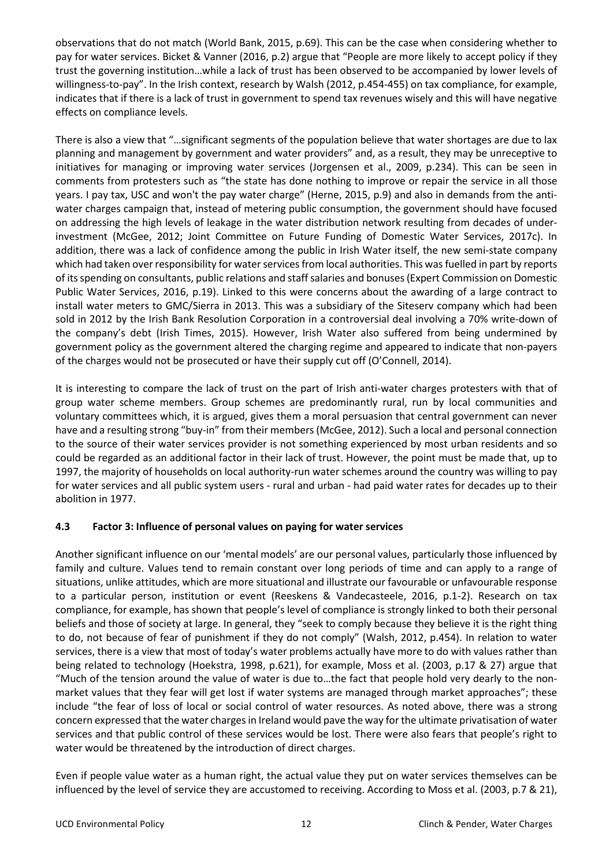observations that do not match (World Bank, 2015, p.69). This can be the case when considering whether to pay for water services. Bicket & Vanner (2016, p.2) argue that "People are more likely to accept policy if they trust the governing institution…while a lack of trust has been observed to be accompanied by lower levels of willingness-to-pay". In the Irish context, research by Walsh (2012, p.454-455) on tax compliance, for example, indicates that if there is a lack of trust in government to spend tax revenues wisely and this will have negative effects on compliance levels.

There is also a view that "…significant segments of the population believe that water shortages are due to lax planning and management by government and water providers" and, as a result, they may be unreceptive to initiatives for managing or improving water services (Jorgensen et al., 2009, p.234). This can be seen in comments from protesters such as "the state has done nothing to improve or repair the service in all those years. I pay tax, USC and won't the pay water charge" (Herne, 2015, p.9) and also in demands from the antiwater charges campaign that, instead of metering public consumption, the government should have focused on addressing the high levels of leakage in the water distribution network resulting from decades of underinvestment (McGee, 2012; Joint Committee on Future Funding of Domestic Water Services, 2017c). In addition, there was a lack of confidence among the public in Irish Water itself, the new semi-state company which had taken over responsibility for water services from local authorities. This was fuelled in part by reports of its spending on consultants, public relations and staff salaries and bonuses (Expert Commission on Domestic Public Water Services, 2016, p.19). Linked to this were concerns about the awarding of a large contract to install water meters to GMC/Sierra in 2013. This was a subsidiary of the Siteserv company which had been sold in 2012 by the Irish Bank Resolution Corporation in a controversial deal involving a 70% write-down of the company's debt (Irish Times, 2015). However, Irish Water also suffered from being undermined by government policy as the government altered the charging regime and appeared to indicate that non-payers of the charges would not be prosecuted or have their supply cut off (O'Connell, 2014).

It is interesting to compare the lack of trust on the part of Irish anti-water charges protesters with that of group water scheme members. Group schemes are predominantly rural, run by local communities and voluntary committees which, it is argued, gives them a moral persuasion that central government can never have and a resulting strong "buy-in" from their members (McGee, 2012). Such a local and personal connection to the source of their water services provider is not something experienced by most urban residents and so could be regarded as an additional factor in their lack of trust. However, the point must be made that, up to 1997, the majority of households on local authority-run water schemes around the country was willing to pay for water services and all public system users - rural and urban - had paid water rates for decades up to their abolition in 1977.

#### **4.3 Factor 3: Influence of personal values on paying for water services**

Another significant influence on our 'mental models' are our personal values, particularly those influenced by family and culture. Values tend to remain constant over long periods of time and can apply to a range of situations, unlike attitudes, which are more situational and illustrate our favourable or unfavourable response to a particular person, institution or event (Reeskens & Vandecasteele, 2016, p.1-2). Research on tax compliance, for example, has shown that people's level of compliance is strongly linked to both their personal beliefs and those of society at large. In general, they "seek to comply because they believe it is the right thing to do, not because of fear of punishment if they do not comply" (Walsh, 2012, p.454). In relation to water services, there is a view that most of today's water problems actually have more to do with values rather than being related to technology (Hoekstra, 1998, p.621), for example, Moss et al. (2003, p.17 & 27) argue that "Much of the tension around the value of water is due to…the fact that people hold very dearly to the nonmarket values that they fear will get lost if water systems are managed through market approaches"; these include "the fear of loss of local or social control of water resources. As noted above, there was a strong concern expressed that the water charges in Ireland would pave the way for the ultimate privatisation of water services and that public control of these services would be lost. There were also fears that people's right to water would be threatened by the introduction of direct charges.

Even if people value water as a human right, the actual value they put on water services themselves can be influenced by the level of service they are accustomed to receiving. According to Moss et al. (2003, p.7 & 21),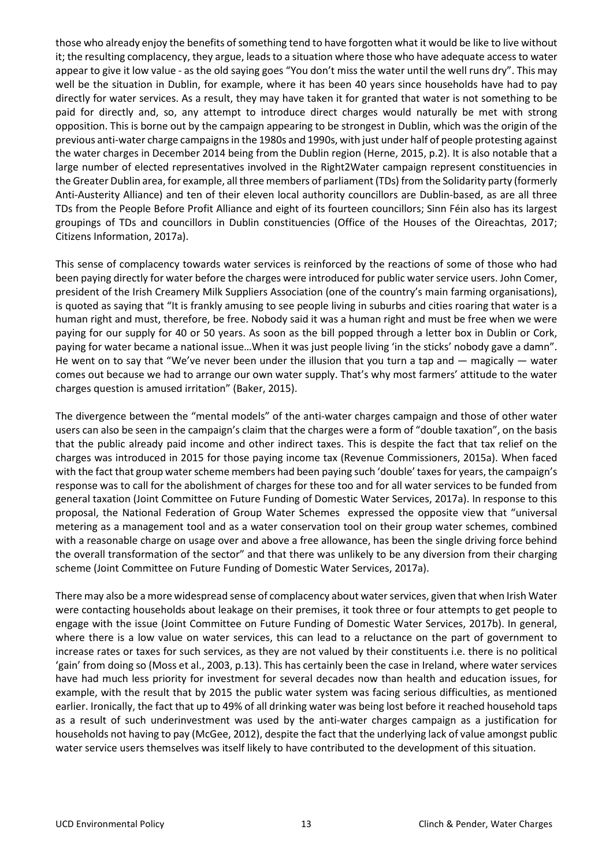those who already enjoy the benefits of something tend to have forgotten what it would be like to live without it; the resulting complacency, they argue, leads to a situation where those who have adequate access to water appear to give it low value - as the old saying goes "You don't miss the water until the well runs dry". This may well be the situation in Dublin, for example, where it has been 40 years since households have had to pay directly for water services. As a result, they may have taken it for granted that water is not something to be paid for directly and, so, any attempt to introduce direct charges would naturally be met with strong opposition. This is borne out by the campaign appearing to be strongest in Dublin, which was the origin of the previous anti-water charge campaigns in the 1980s and 1990s, with just under half of people protesting against the water charges in December 2014 being from the Dublin region (Herne, 2015, p.2). It is also notable that a large number of elected representatives involved in the Right2Water campaign represent constituencies in the Greater Dublin area, for example, all three members of parliament (TDs) from the Solidarity party (formerly Anti-Austerity Alliance) and ten of their eleven local authority councillors are Dublin-based, as are all three TDs from the People Before Profit Alliance and eight of its fourteen councillors; Sinn Féin also has its largest groupings of TDs and councillors in Dublin constituencies (Office of the Houses of the Oireachtas, 2017; Citizens Information, 2017a).

This sense of complacency towards water services is reinforced by the reactions of some of those who had been paying directly for water before the charges were introduced for public water service users. John Comer, president of the Irish Creamery Milk Suppliers Association (one of the country's main farming organisations), is quoted as saying that "It is frankly amusing to see people living in suburbs and cities roaring that water is a human right and must, therefore, be free. Nobody said it was a human right and must be free when we were paying for our supply for 40 or 50 years. As soon as the bill popped through a letter box in Dublin or Cork, paying for water became a national issue…When it was just people living 'in the sticks' nobody gave a damn". He went on to say that "We've never been under the illusion that you turn a tap and — magically — water comes out because we had to arrange our own water supply. That's why most farmers' attitude to the water charges question is amused irritation" (Baker, 2015).

The divergence between the "mental models" of the anti-water charges campaign and those of other water users can also be seen in the campaign's claim that the charges were a form of "double taxation", on the basis that the public already paid income and other indirect taxes. This is despite the fact that tax relief on the charges was introduced in 2015 for those paying income tax (Revenue Commissioners, 2015a). When faced with the fact that group water scheme members had been paying such 'double' taxes for years, the campaign's response was to call for the abolishment of charges for these too and for all water services to be funded from general taxation (Joint Committee on Future Funding of Domestic Water Services, 2017a). In response to this proposal, the National Federation of Group Water Schemes expressed the opposite view that "universal metering as a management tool and as a water conservation tool on their group water schemes, combined with a reasonable charge on usage over and above a free allowance, has been the single driving force behind the overall transformation of the sector" and that there was unlikely to be any diversion from their charging scheme (Joint Committee on Future Funding of Domestic Water Services, 2017a).

There may also be a more widespread sense of complacency about water services, given that when Irish Water were contacting households about leakage on their premises, it took three or four attempts to get people to engage with the issue (Joint Committee on Future Funding of Domestic Water Services, 2017b). In general, where there is a low value on water services, this can lead to a reluctance on the part of government to increase rates or taxes for such services, as they are not valued by their constituents i.e. there is no political 'gain' from doing so (Moss et al., 2003, p.13). This has certainly been the case in Ireland, where water services have had much less priority for investment for several decades now than health and education issues, for example, with the result that by 2015 the public water system was facing serious difficulties, as mentioned earlier. Ironically, the fact that up to 49% of all drinking water was being lost before it reached household taps as a result of such underinvestment was used by the anti-water charges campaign as a justification for households not having to pay (McGee, 2012), despite the fact that the underlying lack of value amongst public water service users themselves was itself likely to have contributed to the development of this situation.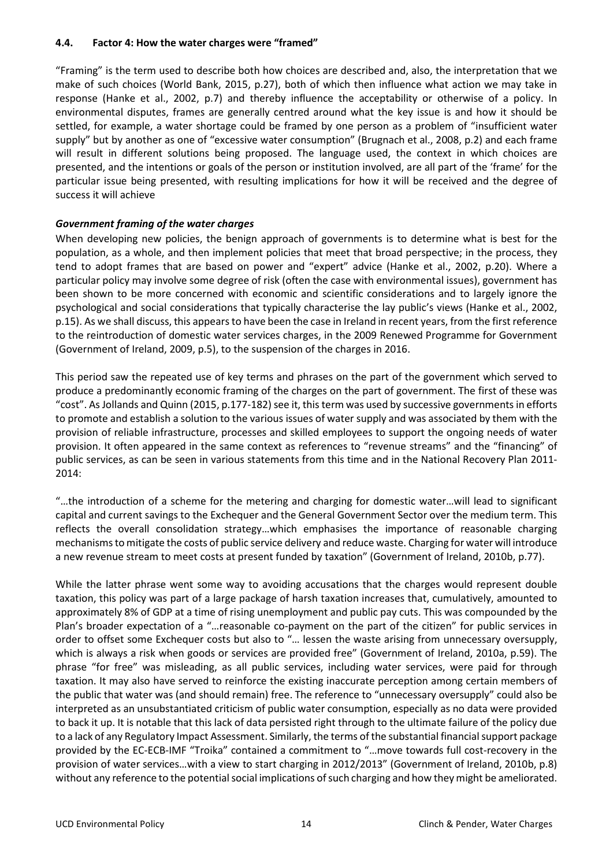#### **4.4. Factor 4: How the water charges were "framed"**

"Framing" is the term used to describe both how choices are described and, also, the interpretation that we make of such choices (World Bank, 2015, p.27), both of which then influence what action we may take in response (Hanke et al., 2002, p.7) and thereby influence the acceptability or otherwise of a policy. In environmental disputes, frames are generally centred around what the key issue is and how it should be settled, for example, a water shortage could be framed by one person as a problem of "insufficient water supply" but by another as one of "excessive water consumption" (Brugnach et al., 2008, p.2) and each frame will result in different solutions being proposed. The language used, the context in which choices are presented, and the intentions or goals of the person or institution involved, are all part of the 'frame' for the particular issue being presented, with resulting implications for how it will be received and the degree of success it will achieve

#### *Government framing of the water charges*

When developing new policies, the benign approach of governments is to determine what is best for the population, as a whole, and then implement policies that meet that broad perspective; in the process, they tend to adopt frames that are based on power and "expert" advice (Hanke et al., 2002, p.20). Where a particular policy may involve some degree of risk (often the case with environmental issues), government has been shown to be more concerned with economic and scientific considerations and to largely ignore the psychological and social considerations that typically characterise the lay public's views (Hanke et al., 2002, p.15). As we shall discuss, this appearsto have been the case in Ireland in recent years, from the first reference to the reintroduction of domestic water services charges, in the 2009 Renewed Programme for Government (Government of Ireland, 2009, p.5), to the suspension of the charges in 2016.

This period saw the repeated use of key terms and phrases on the part of the government which served to produce a predominantly economic framing of the charges on the part of government. The first of these was "cost". As Jollands and Quinn (2015, p.177-182) see it, this term was used by successive governments in efforts to promote and establish a solution to the various issues of water supply and was associated by them with the provision of reliable infrastructure, processes and skilled employees to support the ongoing needs of water provision. It often appeared in the same context as references to "revenue streams" and the "financing" of public services, as can be seen in various statements from this time and in the National Recovery Plan 2011- 2014:

"…the introduction of a scheme for the metering and charging for domestic water…will lead to significant capital and current savings to the Exchequer and the General Government Sector over the medium term. This reflects the overall consolidation strategy…which emphasises the importance of reasonable charging mechanisms to mitigate the costs of public service delivery and reduce waste. Charging for water will introduce a new revenue stream to meet costs at present funded by taxation" (Government of Ireland, 2010b, p.77).

While the latter phrase went some way to avoiding accusations that the charges would represent double taxation, this policy was part of a large package of harsh taxation increases that, cumulatively, amounted to approximately 8% of GDP at a time of rising unemployment and public pay cuts. This was compounded by the Plan's broader expectation of a "…reasonable co-payment on the part of the citizen" for public services in order to offset some Exchequer costs but also to "… lessen the waste arising from unnecessary oversupply, which is always a risk when goods or services are provided free" (Government of Ireland, 2010a, p.59). The phrase "for free" was misleading, as all public services, including water services, were paid for through taxation. It may also have served to reinforce the existing inaccurate perception among certain members of the public that water was (and should remain) free. The reference to "unnecessary oversupply" could also be interpreted as an unsubstantiated criticism of public water consumption, especially as no data were provided to back it up. It is notable that this lack of data persisted right through to the ultimate failure of the policy due to a lack of any Regulatory Impact Assessment. Similarly, the terms of the substantial financial support package provided by the EC-ECB-IMF "Troika" contained a commitment to "…move towards full cost-recovery in the provision of water services…with a view to start charging in 2012/2013" (Government of Ireland, 2010b, p.8) without any reference to the potential social implications of such charging and how they might be ameliorated.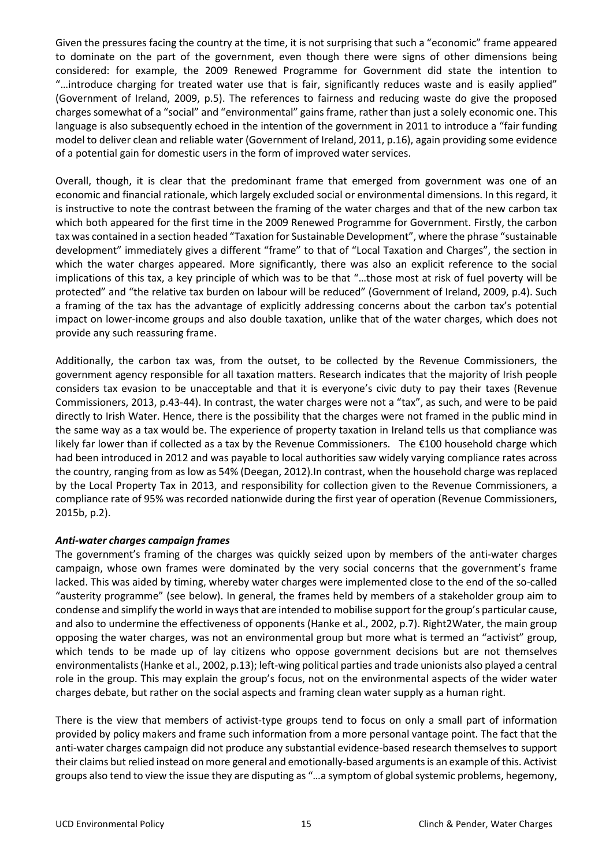Given the pressures facing the country at the time, it is not surprising that such a "economic" frame appeared to dominate on the part of the government, even though there were signs of other dimensions being considered: for example, the 2009 Renewed Programme for Government did state the intention to "…introduce charging for treated water use that is fair, significantly reduces waste and is easily applied" (Government of Ireland, 2009, p.5). The references to fairness and reducing waste do give the proposed charges somewhat of a "social" and "environmental" gains frame, rather than just a solely economic one. This language is also subsequently echoed in the intention of the government in 2011 to introduce a "fair funding model to deliver clean and reliable water (Government of Ireland, 2011, p.16), again providing some evidence of a potential gain for domestic users in the form of improved water services.

Overall, though, it is clear that the predominant frame that emerged from government was one of an economic and financial rationale, which largely excluded social or environmental dimensions. In this regard, it is instructive to note the contrast between the framing of the water charges and that of the new carbon tax which both appeared for the first time in the 2009 Renewed Programme for Government. Firstly, the carbon tax was contained in a section headed "Taxation for Sustainable Development", where the phrase "sustainable development" immediately gives a different "frame" to that of "Local Taxation and Charges", the section in which the water charges appeared. More significantly, there was also an explicit reference to the social implications of this tax, a key principle of which was to be that "…those most at risk of fuel poverty will be protected" and "the relative tax burden on labour will be reduced" (Government of Ireland, 2009, p.4). Such a framing of the tax has the advantage of explicitly addressing concerns about the carbon tax's potential impact on lower-income groups and also double taxation, unlike that of the water charges, which does not provide any such reassuring frame.

Additionally, the carbon tax was, from the outset, to be collected by the Revenue Commissioners, the government agency responsible for all taxation matters. Research indicates that the majority of Irish people considers tax evasion to be unacceptable and that it is everyone's civic duty to pay their taxes (Revenue Commissioners, 2013, p.43-44). In contrast, the water charges were not a "tax", as such, and were to be paid directly to Irish Water. Hence, there is the possibility that the charges were not framed in the public mind in the same way as a tax would be. The experience of property taxation in Ireland tells us that compliance was likely far lower than if collected as a tax by the Revenue Commissioners. The €100 household charge which had been introduced in 2012 and was payable to local authorities saw widely varying compliance rates across the country, ranging from as low as 54% (Deegan, 2012).In contrast, when the household charge was replaced by the Local Property Tax in 2013, and responsibility for collection given to the Revenue Commissioners, a compliance rate of 95% was recorded nationwide during the first year of operation (Revenue Commissioners, 2015b, p.2).

#### *Anti-water charges campaign frames*

The government's framing of the charges was quickly seized upon by members of the anti-water charges campaign, whose own frames were dominated by the very social concerns that the government's frame lacked. This was aided by timing, whereby water charges were implemented close to the end of the so-called "austerity programme" (see below). In general, the frames held by members of a stakeholder group aim to condense and simplify the world in ways that are intended to mobilise support for the group's particular cause, and also to undermine the effectiveness of opponents (Hanke et al., 2002, p.7). Right2Water, the main group opposing the water charges, was not an environmental group but more what is termed an "activist" group, which tends to be made up of lay citizens who oppose government decisions but are not themselves environmentalists (Hanke et al., 2002, p.13); left-wing political parties and trade unionists also played a central role in the group. This may explain the group's focus, not on the environmental aspects of the wider water charges debate, but rather on the social aspects and framing clean water supply as a human right.

There is the view that members of activist-type groups tend to focus on only a small part of information provided by policy makers and frame such information from a more personal vantage point. The fact that the anti-water charges campaign did not produce any substantial evidence-based research themselves to support their claims but relied instead on more general and emotionally-based arguments is an example of this. Activist groups also tend to view the issue they are disputing as "…a symptom of global systemic problems, hegemony,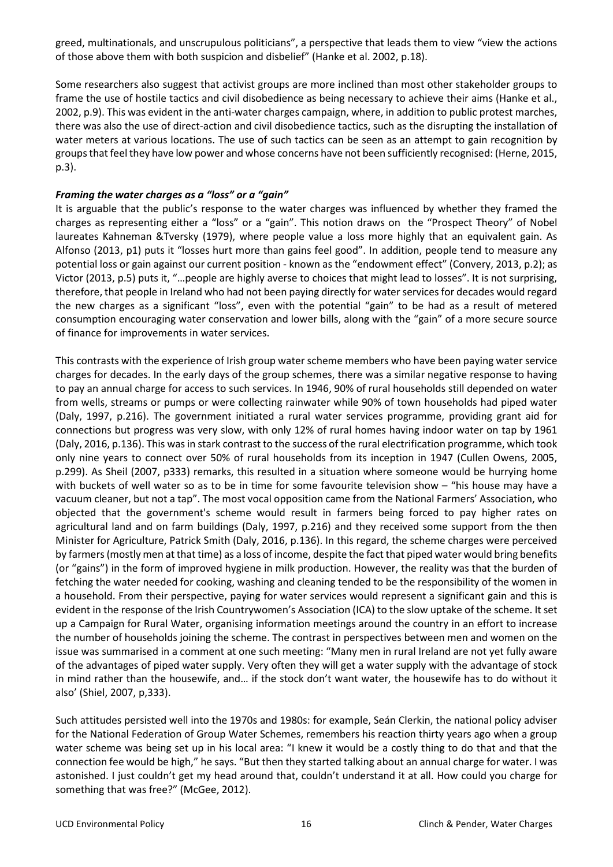greed, multinationals, and unscrupulous politicians", a perspective that leads them to view "view the actions of those above them with both suspicion and disbelief" (Hanke et al. 2002, p.18).

Some researchers also suggest that activist groups are more inclined than most other stakeholder groups to frame the use of hostile tactics and civil disobedience as being necessary to achieve their aims (Hanke et al., 2002, p.9). This was evident in the anti-water charges campaign, where, in addition to public protest marches, there was also the use of direct-action and civil disobedience tactics, such as the disrupting the installation of water meters at various locations. The use of such tactics can be seen as an attempt to gain recognition by groups that feel they have low power and whose concerns have not been sufficiently recognised: (Herne, 2015, p.3).

#### *Framing the water charges as a "loss" or a "gain"*

It is arguable that the public's response to the water charges was influenced by whether they framed the charges as representing either a "loss" or a "gain". This notion draws on the "Prospect Theory" of Nobel laureates Kahneman &Tversky (1979), where people value a loss more highly that an equivalent gain. As Alfonso (2013, p1) puts it "losses hurt more than gains feel good". In addition, people tend to measure any potential loss or gain against our current position - known as the "endowment effect" (Convery, 2013, p.2); as Victor (2013, p.5) puts it, "…people are highly averse to choices that might lead to losses". It is not surprising, therefore, that people in Ireland who had not been paying directly for water services for decades would regard the new charges as a significant "loss", even with the potential "gain" to be had as a result of metered consumption encouraging water conservation and lower bills, along with the "gain" of a more secure source of finance for improvements in water services.

This contrasts with the experience of Irish group water scheme members who have been paying water service charges for decades. In the early days of the group schemes, there was a similar negative response to having to pay an annual charge for access to such services. In 1946, 90% of rural households still depended on water from wells, streams or pumps or were collecting rainwater while 90% of town households had piped water (Daly, 1997, p.216). The government initiated a rural water services programme, providing grant aid for connections but progress was very slow, with only 12% of rural homes having indoor water on tap by 1961 (Daly, 2016, p.136). This was in stark contrast to the success of the rural electrification programme, which took only nine years to connect over 50% of rural households from its inception in 1947 (Cullen Owens, 2005, p.299). As Sheil (2007, p333) remarks, this resulted in a situation where someone would be hurrying home with buckets of well water so as to be in time for some favourite television show – "his house may have a vacuum cleaner, but not a tap". The most vocal opposition came from the National Farmers' Association, who objected that the government's scheme would result in farmers being forced to pay higher rates on agricultural land and on farm buildings (Daly, 1997, p.216) and they received some support from the then Minister for Agriculture, Patrick Smith (Daly, 2016, p.136). In this regard, the scheme charges were perceived by farmers (mostly men at that time) as a loss of income, despite the fact that piped water would bring benefits (or "gains") in the form of improved hygiene in milk production. However, the reality was that the burden of fetching the water needed for cooking, washing and cleaning tended to be the responsibility of the women in a household. From their perspective, paying for water services would represent a significant gain and this is evident in the response of the Irish Countrywomen's Association (ICA) to the slow uptake of the scheme. It set up a Campaign for Rural Water, organising information meetings around the country in an effort to increase the number of households joining the scheme. The contrast in perspectives between men and women on the issue was summarised in a comment at one such meeting: "Many men in rural Ireland are not yet fully aware of the advantages of piped water supply. Very often they will get a water supply with the advantage of stock in mind rather than the housewife, and… if the stock don't want water, the housewife has to do without it also' (Shiel, 2007, p,333).

Such attitudes persisted well into the 1970s and 1980s: for example, Seán Clerkin, the national policy adviser for the National Federation of Group Water Schemes, remembers his reaction thirty years ago when a group water scheme was being set up in his local area: "I knew it would be a costly thing to do that and that the connection fee would be high," he says. "But then they started talking about an annual charge for water. I was astonished. I just couldn't get my head around that, couldn't understand it at all. How could you charge for something that was free?" (McGee, 2012).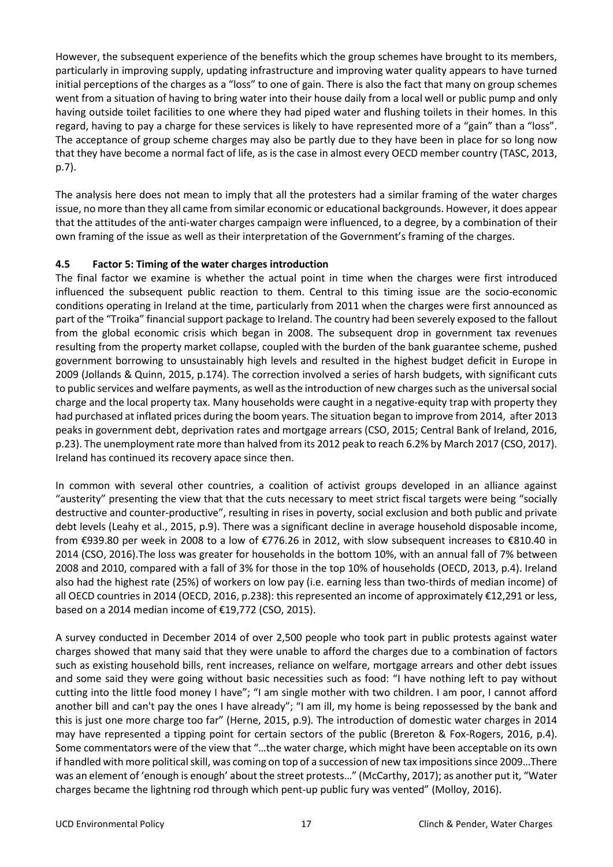However, the subsequent experience of the benefits which the group schemes have brought to its members, particularly in improving supply, updating infrastructure and improving water quality appears to have turned initial perceptions of the charges as a "loss" to one of gain. There is also the fact that many on group schemes went from a situation of having to bring water into their house daily from a local well or public pump and only having outside toilet facilities to one where they had piped water and flushing toilets in their homes. In this regard, having to pay a charge for these services is likely to have represented more of a "gain" than a "loss". The acceptance of group scheme charges may also be partly due to they have been in place for so long now that they have become a normal fact of life, as is the case in almost every OECD member country (TASC, 2013, p.7).

The analysis here does not mean to imply that all the protesters had a similar framing of the water charges issue, no more than they all came from similar economic or educational backgrounds. However, it does appear that the attitudes of the anti-water charges campaign were influenced, to a degree, by a combination of their own framing of the issue as well as their interpretation of the Government's framing of the charges.

#### **4.5 Factor 5: Timing of the water charges introduction**

The final factor we examine is whether the actual point in time when the charges were first introduced influenced the subsequent public reaction to them. Central to this timing issue are the socio-economic conditions operating in Ireland at the time, particularly from 2011 when the charges were first announced as part of the "Troika" financial support package to Ireland. The country had been severely exposed to the fallout from the global economic crisis which began in 2008. The subsequent drop in government tax revenues resulting from the property market collapse, coupled with the burden of the bank guarantee scheme, pushed government borrowing to unsustainably high levels and resulted in the highest budget deficit in Europe in 2009 (Jollands & Quinn, 2015, p.174). The correction involved a series of harsh budgets, with significant cuts to public services and welfare payments, as well as the introduction of new charges such as the universal social charge and the local property tax. Many households were caught in a negative-equity trap with property they had purchased at inflated prices during the boom years. The situation began to improve from 2014, after 2013 peaks in government debt, deprivation rates and mortgage arrears (CSO, 2015; Central Bank of Ireland, 2016, p.23). The unemployment rate more than halved from its 2012 peak to reach 6.2% by March 2017 (CSO, 2017). Ireland has continued its recovery apace since then.

In common with several other countries, a coalition of activist groups developed in an alliance against "austerity" presenting the view that that the cuts necessary to meet strict fiscal targets were being "socially destructive and counter-productive", resulting in rises in poverty, social exclusion and both public and private debt levels (Leahy et al., 2015, p.9). There was a significant decline in average household disposable income, from €939.80 per week in 2008 to a low of €776.26 in 2012, with slow subsequent increases to €810.40 in 2014 (CSO, 2016).The loss was greater for households in the bottom 10%, with an annual fall of 7% between 2008 and 2010, compared with a fall of 3% for those in the top 10% of households (OECD, 2013, p.4). Ireland also had the highest rate (25%) of workers on low pay (i.e. earning less than two-thirds of median income) of all OECD countries in 2014 (OECD, 2016, p.238): this represented an income of approximately €12,291 or less, based on a 2014 median income of €19,772 (CSO, 2015).

A survey conducted in December 2014 of over 2,500 people who took part in public protests against water charges showed that many said that they were unable to afford the charges due to a combination of factors such as existing household bills, rent increases, reliance on welfare, mortgage arrears and other debt issues and some said they were going without basic necessities such as food: "I have nothing left to pay without cutting into the little food money I have"; "I am single mother with two children. I am poor, I cannot afford another bill and can't pay the ones I have already"; "I am ill, my home is being repossessed by the bank and this is just one more charge too far" (Herne, 2015, p.9)*.* The introduction of domestic water charges in 2014 may have represented a tipping point for certain sectors of the public (Brereton & Fox-Rogers, 2016, p.4). Some commentators were of the view that "…the water charge, which might have been acceptable on its own if handled with more political skill, was coming on top of a succession of new tax impositions since 2009…There was an element of 'enough is enough' about the street protests…" (McCarthy, 2017); as another put it, "Water charges became the lightning rod through which pent-up public fury was vented" (Molloy, 2016).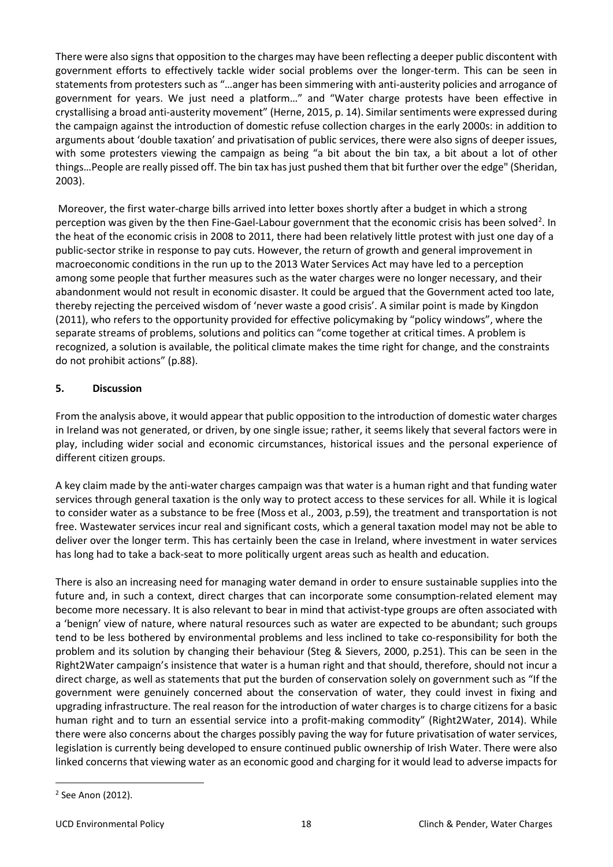There were also signs that opposition to the charges may have been reflecting a deeper public discontent with government efforts to effectively tackle wider social problems over the longer-term. This can be seen in statements from protesters such as "…anger has been simmering with anti-austerity policies and arrogance of government for years. We just need a platform…" and "Water charge protests have been effective in crystallising a broad anti-austerity movement" (Herne, 2015, p. 14). Similar sentiments were expressed during the campaign against the introduction of domestic refuse collection charges in the early 2000s: in addition to arguments about 'double taxation' and privatisation of public services, there were also signs of deeper issues, with some protesters viewing the campaign as being "a bit about the bin tax, a bit about a lot of other things…People are really pissed off. The bin tax has just pushed them that bit further over the edge" (Sheridan, 2003).

Moreover, the first water-charge bills arrived into letter boxes shortly after a budget in which a strong perception was given by the then Fine-Gael-Labour government that the economic crisis has been solved<sup>[2](#page-17-0)</sup>. In the heat of the economic crisis in 2008 to 2011, there had been relatively little protest with just one day of a public-sector strike in response to pay cuts. However, the return of growth and general improvement in macroeconomic conditions in the run up to the 2013 Water Services Act may have led to a perception among some people that further measures such as the water charges were no longer necessary, and their abandonment would not result in economic disaster. It could be argued that the Government acted too late, thereby rejecting the perceived wisdom of 'never waste a good crisis'. A similar point is made by Kingdon (2011), who refers to the opportunity provided for effective policymaking by "policy windows", where the separate streams of problems, solutions and politics can "come together at critical times. A problem is recognized, a solution is available, the political climate makes the time right for change, and the constraints do not prohibit actions" (p.88).

#### **5. Discussion**

From the analysis above, it would appear that public opposition to the introduction of domestic water charges in Ireland was not generated, or driven, by one single issue; rather, it seems likely that several factors were in play, including wider social and economic circumstances, historical issues and the personal experience of different citizen groups.

A key claim made by the anti-water charges campaign was that water is a human right and that funding water services through general taxation is the only way to protect access to these services for all. While it is logical to consider water as a substance to be free (Moss et al., 2003, p.59), the treatment and transportation is not free. Wastewater services incur real and significant costs, which a general taxation model may not be able to deliver over the longer term. This has certainly been the case in Ireland, where investment in water services has long had to take a back-seat to more politically urgent areas such as health and education.

There is also an increasing need for managing water demand in order to ensure sustainable supplies into the future and, in such a context, direct charges that can incorporate some consumption-related element may become more necessary. It is also relevant to bear in mind that activist-type groups are often associated with a 'benign' view of nature, where natural resources such as water are expected to be abundant; such groups tend to be less bothered by environmental problems and less inclined to take co-responsibility for both the problem and its solution by changing their behaviour (Steg & Sievers, 2000, p.251). This can be seen in the Right2Water campaign's insistence that water is a human right and that should, therefore, should not incur a direct charge, as well as statements that put the burden of conservation solely on government such as "If the government were genuinely concerned about the conservation of water, they could invest in fixing and upgrading infrastructure. The real reason for the introduction of water charges is to charge citizens for a basic human right and to turn an essential service into a profit-making commodity" (Right2Water, 2014). While there were also concerns about the charges possibly paving the way for future privatisation of water services, legislation is currently being developed to ensure continued public ownership of Irish Water. There were also linked concerns that viewing water as an economic good and charging for it would lead to adverse impacts for

<span id="page-17-0"></span> $2$  See Anon (2012).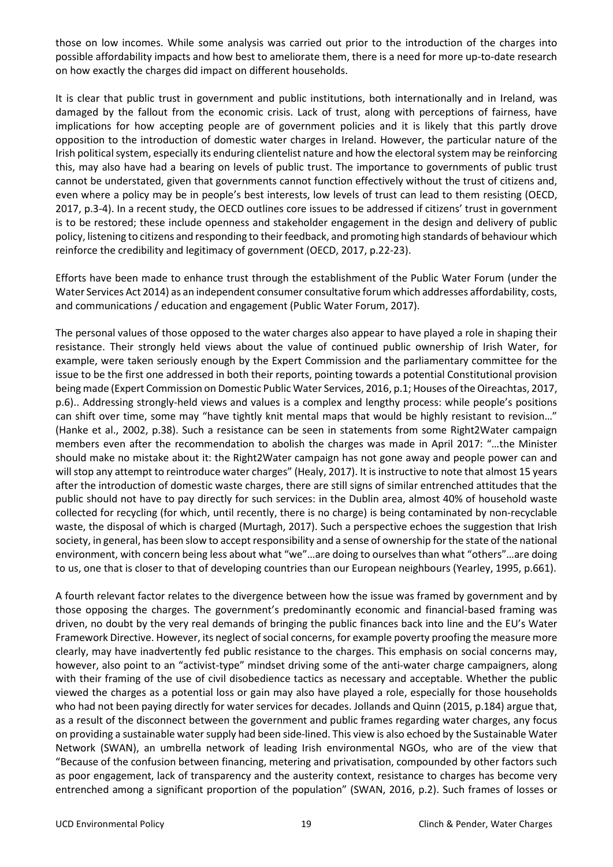those on low incomes. While some analysis was carried out prior to the introduction of the charges into possible affordability impacts and how best to ameliorate them, there is a need for more up-to-date research on how exactly the charges did impact on different households.

It is clear that public trust in government and public institutions, both internationally and in Ireland, was damaged by the fallout from the economic crisis. Lack of trust, along with perceptions of fairness, have implications for how accepting people are of government policies and it is likely that this partly drove opposition to the introduction of domestic water charges in Ireland. However, the particular nature of the Irish political system, especially its enduring clientelist nature and how the electoral system may be reinforcing this, may also have had a bearing on levels of public trust. The importance to governments of public trust cannot be understated, given that governments cannot function effectively without the trust of citizens and, even where a policy may be in people's best interests, low levels of trust can lead to them resisting (OECD, 2017, p.3-4). In a recent study, the OECD outlines core issues to be addressed if citizens' trust in government is to be restored; these include openness and stakeholder engagement in the design and delivery of public policy, listening to citizens and responding to their feedback, and promoting high standards of behaviour which reinforce the credibility and legitimacy of government (OECD, 2017, p.22-23).

Efforts have been made to enhance trust through the establishment of the Public Water Forum (under the Water Services Act 2014) as an independent consumer consultative forum which addresses affordability, costs, and communications / education and engagement (Public Water Forum, 2017).

The personal values of those opposed to the water charges also appear to have played a role in shaping their resistance. Their strongly held views about the value of continued public ownership of Irish Water, for example, were taken seriously enough by the Expert Commission and the parliamentary committee for the issue to be the first one addressed in both their reports, pointing towards a potential Constitutional provision being made (Expert Commission on Domestic Public Water Services, 2016, p.1; Houses of the Oireachtas, 2017, p.6).. Addressing strongly-held views and values is a complex and lengthy process: while people's positions can shift over time, some may "have tightly knit mental maps that would be highly resistant to revision…" (Hanke et al., 2002, p.38). Such a resistance can be seen in statements from some Right2Water campaign members even after the recommendation to abolish the charges was made in April 2017: "…the Minister should make no mistake about it: the Right2Water campaign has not gone away and people power can and will stop any attempt to reintroduce water charges" (Healy, 2017). It is instructive to note that almost 15 years after the introduction of domestic waste charges, there are still signs of similar entrenched attitudes that the public should not have to pay directly for such services: in the Dublin area, almost 40% of household waste collected for recycling (for which, until recently, there is no charge) is being contaminated by non-recyclable waste, the disposal of which is charged (Murtagh, 2017). Such a perspective echoes the suggestion that Irish society, in general, has been slow to accept responsibility and a sense of ownership for the state of the national environment, with concern being less about what "we"…are doing to ourselves than what "others"…are doing to us, one that is closer to that of developing countries than our European neighbours (Yearley, 1995, p.661).

A fourth relevant factor relates to the divergence between how the issue was framed by government and by those opposing the charges. The government's predominantly economic and financial-based framing was driven, no doubt by the very real demands of bringing the public finances back into line and the EU's Water Framework Directive. However, its neglect of social concerns, for example poverty proofing the measure more clearly, may have inadvertently fed public resistance to the charges. This emphasis on social concerns may, however, also point to an "activist-type" mindset driving some of the anti-water charge campaigners, along with their framing of the use of civil disobedience tactics as necessary and acceptable. Whether the public viewed the charges as a potential loss or gain may also have played a role, especially for those households who had not been paying directly for water services for decades. Jollands and Quinn (2015, p.184) argue that, as a result of the disconnect between the government and public frames regarding water charges, any focus on providing a sustainable water supply had been side-lined. This view is also echoed by the Sustainable Water Network (SWAN), an umbrella network of leading Irish environmental NGOs, who are of the view that "Because of the confusion between financing, metering and privatisation, compounded by other factors such as poor engagement, lack of transparency and the austerity context, resistance to charges has become very entrenched among a significant proportion of the population" (SWAN, 2016, p.2). Such frames of losses or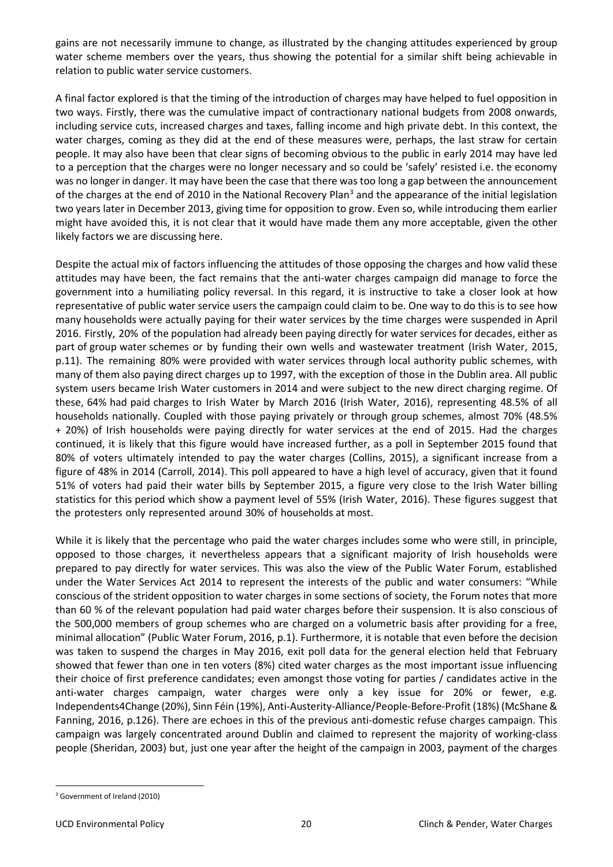gains are not necessarily immune to change, as illustrated by the changing attitudes experienced by group water scheme members over the years, thus showing the potential for a similar shift being achievable in relation to public water service customers.

A final factor explored is that the timing of the introduction of charges may have helped to fuel opposition in two ways. Firstly, there was the cumulative impact of contractionary national budgets from 2008 onwards, including service cuts, increased charges and taxes, falling income and high private debt. In this context, the water charges, coming as they did at the end of these measures were, perhaps, the last straw for certain people. It may also have been that clear signs of becoming obvious to the public in early 2014 may have led to a perception that the charges were no longer necessary and so could be 'safely' resisted i.e. the economy was no longer in danger. It may have been the case that there was too long a gap between the announcement of the charges at the end of 2010 in the National Recovery Plan<sup>[3](#page-19-0)</sup> and the appearance of the initial legislation two years later in December 2013, giving time for opposition to grow. Even so, while introducing them earlier might have avoided this, it is not clear that it would have made them any more acceptable, given the other likely factors we are discussing here.

Despite the actual mix of factors influencing the attitudes of those opposing the charges and how valid these attitudes may have been, the fact remains that the anti-water charges campaign did manage to force the government into a humiliating policy reversal. In this regard, it is instructive to take a closer look at how representative of public water service users the campaign could claim to be. One way to do this is to see how many households were actually paying for their water services by the time charges were suspended in April 2016. Firstly, 20% of the population had already been paying directly for water services for decades, either as part of group water schemes or by funding their own wells and wastewater treatment (Irish Water, 2015, p.11). The remaining 80% were provided with water services through local authority public schemes, with many of them also paying direct charges up to 1997, with the exception of those in the Dublin area. All public system users became Irish Water customers in 2014 and were subject to the new direct charging regime. Of these, 64% had paid charges to Irish Water by March 2016 (Irish Water, 2016), representing 48.5% of all households nationally. Coupled with those paying privately or through group schemes, almost 70% (48.5% + 20%) of Irish households were paying directly for water services at the end of 2015. Had the charges continued, it is likely that this figure would have increased further, as a poll in September 2015 found that 80% of voters ultimately intended to pay the water charges (Collins, 2015), a significant increase from a figure of 48% in 2014 (Carroll, 2014). This poll appeared to have a high level of accuracy, given that it found 51% of voters had paid their water bills by September 2015, a figure very close to the Irish Water billing statistics for this period which show a payment level of 55% (Irish Water, 2016). These figures suggest that the protesters only represented around 30% of households at most.

While it is likely that the percentage who paid the water charges includes some who were still, in principle, opposed to those charges, it nevertheless appears that a significant majority of Irish households were prepared to pay directly for water services. This was also the view of the Public Water Forum, established under the Water Services Act 2014 to represent the interests of the public and water consumers: "While conscious of the strident opposition to water charges in some sections of society, the Forum notes that more than 60 % of the relevant population had paid water charges before their suspension. It is also conscious of the 500,000 members of group schemes who are charged on a volumetric basis after providing for a free, minimal allocation" (Public Water Forum, 2016, p.1). Furthermore, it is notable that even before the decision was taken to suspend the charges in May 2016, exit poll data for the general election held that February showed that fewer than one in ten voters (8%) cited water charges as the most important issue influencing their choice of first preference candidates; even amongst those voting for parties / candidates active in the anti-water charges campaign, water charges were only a key issue for 20% or fewer, e.g. Independents4Change (20%), Sinn Féin (19%), Anti-Austerity-Alliance/People-Before-Profit (18%) (McShane & Fanning, 2016, p.126). There are echoes in this of the previous anti-domestic refuse charges campaign. This campaign was largely concentrated around Dublin and claimed to represent the majority of working-class people (Sheridan, 2003) but, just one year after the height of the campaign in 2003, payment of the charges

<span id="page-19-0"></span><sup>3</sup> Government of Ireland (2010)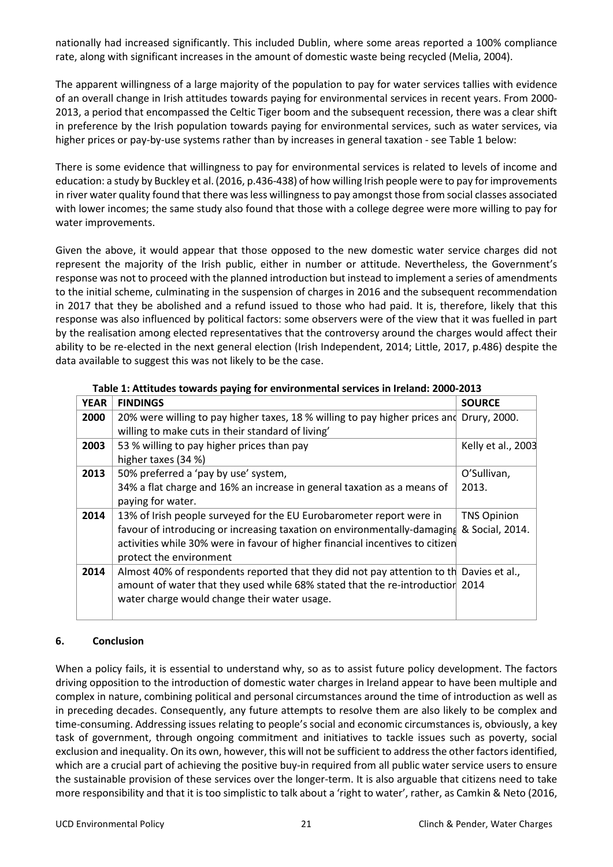nationally had increased significantly. This included Dublin, where some areas reported a 100% compliance rate, along with significant increases in the amount of domestic waste being recycled (Melia, 2004).

The apparent willingness of a large majority of the population to pay for water services tallies with evidence of an overall change in Irish attitudes towards paying for environmental services in recent years. From 2000- 2013, a period that encompassed the Celtic Tiger boom and the subsequent recession, there was a clear shift in preference by the Irish population towards paying for environmental services, such as water services, via higher prices or pay-by-use systems rather than by increases in general taxation - see Table 1 below:

There is some evidence that willingness to pay for environmental services is related to levels of income and education: a study by Buckley et al. (2016, p.436-438) of how willing Irish people were to pay for improvements in river water quality found that there was less willingness to pay amongst those from social classes associated with lower incomes; the same study also found that those with a college degree were more willing to pay for water improvements.

Given the above, it would appear that those opposed to the new domestic water service charges did not represent the majority of the Irish public, either in number or attitude. Nevertheless, the Government's response was not to proceed with the planned introduction but instead to implement a series of amendments to the initial scheme, culminating in the suspension of charges in 2016 and the subsequent recommendation in 2017 that they be abolished and a refund issued to those who had paid. It is, therefore, likely that this response was also influenced by political factors: some observers were of the view that it was fuelled in part by the realisation among elected representatives that the controversy around the charges would affect their ability to be re-elected in the next general election (Irish Independent, 2014; Little, 2017, p.486) despite the data available to suggest this was not likely to be the case.

| <b>YEAR</b> | <b>FINDINGS</b>                                                                          | <b>SOURCE</b>      |
|-------------|------------------------------------------------------------------------------------------|--------------------|
| 2000        | 20% were willing to pay higher taxes, 18 % willing to pay higher prices and              | Drury, 2000.       |
|             | willing to make cuts in their standard of living'                                        |                    |
| 2003        | 53 % willing to pay higher prices than pay                                               | Kelly et al., 2003 |
|             | higher taxes (34 %)                                                                      |                    |
| 2013        | 50% preferred a 'pay by use' system,                                                     | O'Sullivan,        |
|             | 34% a flat charge and 16% an increase in general taxation as a means of                  | 2013.              |
|             | paying for water.                                                                        |                    |
| 2014        | 13% of Irish people surveyed for the EU Eurobarometer report were in                     | <b>TNS Opinion</b> |
|             | favour of introducing or increasing taxation on environmentally-damaging                 | & Social, 2014.    |
|             | activities while 30% were in favour of higher financial incentives to citizen            |                    |
|             | protect the environment                                                                  |                    |
| 2014        | Almost 40% of respondents reported that they did not pay attention to the Davies et al., |                    |
|             | amount of water that they used while 68% stated that the re-introduction 2014            |                    |
|             | water charge would change their water usage.                                             |                    |
|             |                                                                                          |                    |

#### **Table 1: Attitudes towards paying for environmental services in Ireland: 2000-2013**

#### **6. Conclusion**

When a policy fails, it is essential to understand why, so as to assist future policy development. The factors driving opposition to the introduction of domestic water charges in Ireland appear to have been multiple and complex in nature, combining political and personal circumstances around the time of introduction as well as in preceding decades. Consequently, any future attempts to resolve them are also likely to be complex and time-consuming. Addressing issues relating to people's social and economic circumstances is, obviously, a key task of government, through ongoing commitment and initiatives to tackle issues such as poverty, social exclusion and inequality. On its own, however, this will not be sufficient to address the other factors identified, which are a crucial part of achieving the positive buy-in required from all public water service users to ensure the sustainable provision of these services over the longer-term. It is also arguable that citizens need to take more responsibility and that it is too simplistic to talk about a 'right to water', rather, as Camkin & Neto (2016,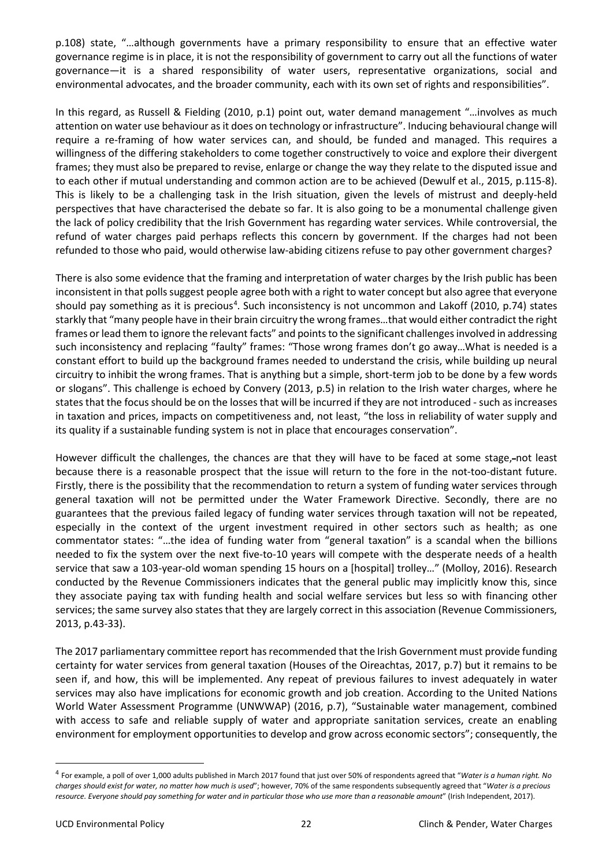p.108) state, "…although governments have a primary responsibility to ensure that an effective water governance regime is in place, it is not the responsibility of government to carry out all the functions of water governance—it is a shared responsibility of water users, representative organizations, social and environmental advocates, and the broader community, each with its own set of rights and responsibilities".

In this regard, as Russell & Fielding (2010, p.1) point out, water demand management "…involves as much attention on water use behaviour as it does on technology or infrastructure". Inducing behavioural change will require a re-framing of how water services can, and should, be funded and managed. This requires a willingness of the differing stakeholders to come together constructively to voice and explore their divergent frames; they must also be prepared to revise, enlarge or change the way they relate to the disputed issue and to each other if mutual understanding and common action are to be achieved (Dewulf et al., 2015, p.115-8). This is likely to be a challenging task in the Irish situation, given the levels of mistrust and deeply-held perspectives that have characterised the debate so far. It is also going to be a monumental challenge given the lack of policy credibility that the Irish Government has regarding water services. While controversial, the refund of water charges paid perhaps reflects this concern by government. If the charges had not been refunded to those who paid, would otherwise law-abiding citizens refuse to pay other government charges?

There is also some evidence that the framing and interpretation of water charges by the Irish public has been inconsistent in that polls suggest people agree both with a right to water concept but also agree that everyone should pay something as it is precious<sup>[4](#page-21-0)</sup>. Such inconsistency is not uncommon and Lakoff (2010, p.74) states starkly that "many people have in their brain circuitry the wrong frames…that would either contradict the right frames or lead them to ignore the relevant facts" and points to the significant challenges involved in addressing such inconsistency and replacing "faulty" frames: "Those wrong frames don't go away…What is needed is a constant effort to build up the background frames needed to understand the crisis, while building up neural circuitry to inhibit the wrong frames. That is anything but a simple, short-term job to be done by a few words or slogans". This challenge is echoed by Convery (2013, p.5) in relation to the Irish water charges, where he states that the focus should be on the losses that will be incurred if they are not introduced - such as increases in taxation and prices, impacts on competitiveness and, not least, "the loss in reliability of water supply and its quality if a sustainable funding system is not in place that encourages conservation".

However difficult the challenges, the chances are that they will have to be faced at some stage, not least because there is a reasonable prospect that the issue will return to the fore in the not-too-distant future. Firstly, there is the possibility that the recommendation to return a system of funding water services through general taxation will not be permitted under the Water Framework Directive. Secondly, there are no guarantees that the previous failed legacy of funding water services through taxation will not be repeated, especially in the context of the urgent investment required in other sectors such as health; as one commentator states: "…the idea of funding water from "general taxation" is a scandal when the billions needed to fix the system over the next five-to-10 years will compete with the desperate needs of a health service that saw a 103-year-old woman spending 15 hours on a [hospital] trolley…" (Molloy, 2016). Research conducted by the Revenue Commissioners indicates that the general public may implicitly know this, since they associate paying tax with funding health and social welfare services but less so with financing other services; the same survey also states that they are largely correct in this association (Revenue Commissioners, 2013, p.43-33).

The 2017 parliamentary committee report has recommended that the Irish Government must provide funding certainty for water services from general taxation (Houses of the Oireachtas, 2017, p.7) but it remains to be seen if, and how, this will be implemented. Any repeat of previous failures to invest adequately in water services may also have implications for economic growth and job creation. According to the United Nations World Water Assessment Programme (UNWWAP) (2016, p.7), "Sustainable water management, combined with access to safe and reliable supply of water and appropriate sanitation services, create an enabling environment for employment opportunities to develop and grow across economic sectors"; consequently, the

<span id="page-21-0"></span> <sup>4</sup> For example, a poll of over 1,000 adults published in March 2017 found that just over 50% of respondents agreed that "*Water is a human right. No charges should exist for water, no matter how much is used*"; however, 70% of the same respondents subsequently agreed that "*Water is a precious resource. Everyone should pay something for water and in particular those who use more than a reasonable amount*" (Irish Independent, 2017).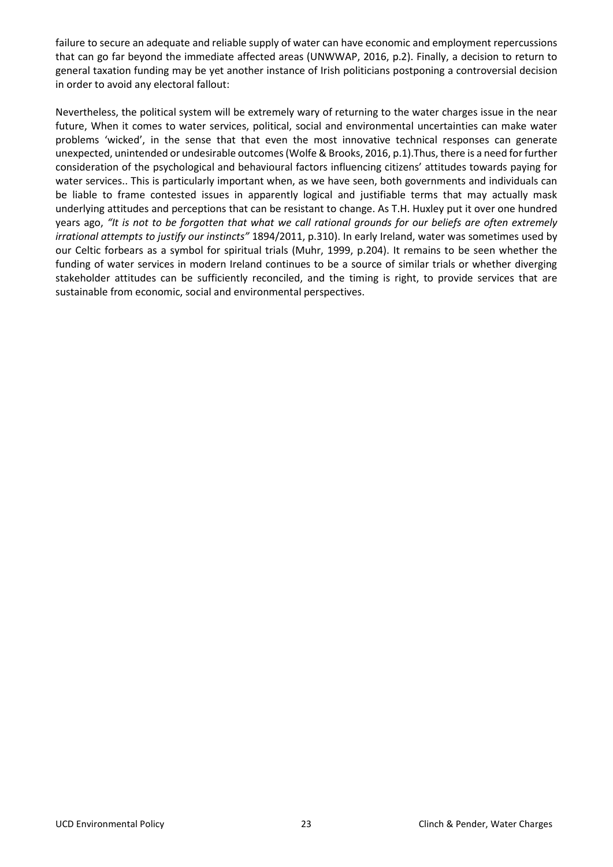failure to secure an adequate and reliable supply of water can have economic and employment repercussions that can go far beyond the immediate affected areas (UNWWAP, 2016, p.2). Finally, a decision to return to general taxation funding may be yet another instance of Irish politicians postponing a controversial decision in order to avoid any electoral fallout:

Nevertheless, the political system will be extremely wary of returning to the water charges issue in the near future, When it comes to water services, political, social and environmental uncertainties can make water problems 'wicked', in the sense that that even the most innovative technical responses can generate unexpected, unintended or undesirable outcomes (Wolfe & Brooks, 2016, p.1).Thus, there is a need for further consideration of the psychological and behavioural factors influencing citizens' attitudes towards paying for water services.. This is particularly important when, as we have seen, both governments and individuals can be liable to frame contested issues in apparently logical and justifiable terms that may actually mask underlying attitudes and perceptions that can be resistant to change. As T.H. Huxley put it over one hundred years ago, *"It is not to be forgotten that what we call rational grounds for our beliefs are often extremely irrational attempts to justify our instincts"* 1894/2011, p.310). In early Ireland, water was sometimes used by our Celtic forbears as a symbol for spiritual trials (Muhr, 1999, p.204). It remains to be seen whether the funding of water services in modern Ireland continues to be a source of similar trials or whether diverging stakeholder attitudes can be sufficiently reconciled, and the timing is right, to provide services that are sustainable from economic, social and environmental perspectives.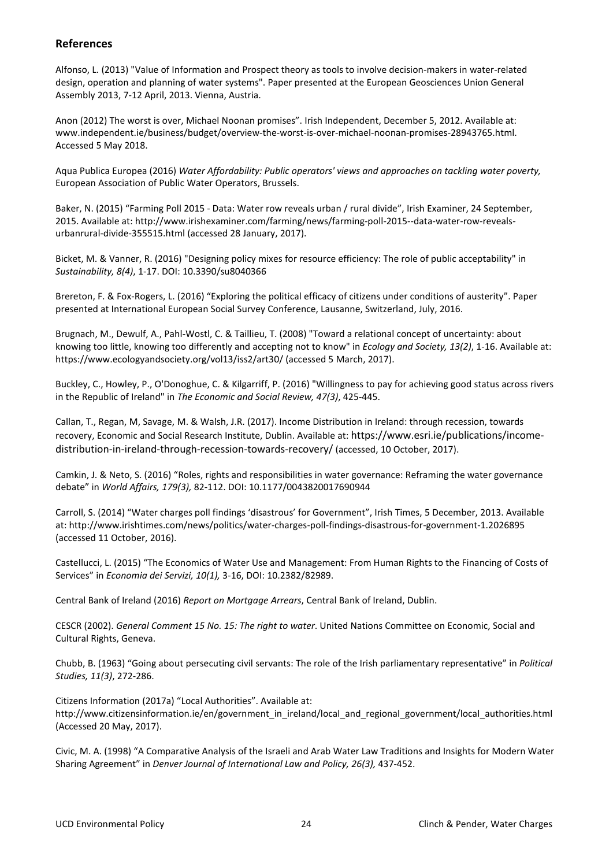#### **References**

Alfonso, L. (2013) "Value of Information and Prospect theory as tools to involve decision-makers in water-related design, operation and planning of water systems". Paper presented at the European Geosciences Union General Assembly 2013, 7-12 April, 2013. Vienna, Austria.

Anon (2012) The worst is over, Michael Noonan promises". Irish Independent, December 5, 2012. Available at: www.independent.ie/business/budget/overview-the-worst-is-over-michael-noonan-promises-28943765.html. Accessed 5 May 2018.

Aqua Publica Europea (2016) *Water Affordability: Public operators' views and approaches on tackling water poverty,* European Association of Public Water Operators, Brussels.

Baker, N. (2015) "Farming Poll 2015 - Data: Water row reveals urban / rural divide", Irish Examiner, 24 September, 2015. Available at: http://www.irishexaminer.com/farming/news/farming-poll-2015--data-water-row-revealsurbanrural-divide-355515.html (accessed 28 January, 2017).

Bicket, M. & Vanner, R. (2016) "Designing policy mixes for resource efficiency: The role of public acceptability" in *Sustainability, 8(4)*, 1-17. DOI: 10.3390/su8040366

Brereton, F. & Fox-Rogers, L. (2016) "Exploring the political efficacy of citizens under conditions of austerity". Paper presented at International European Social Survey Conference, Lausanne, Switzerland, July, 2016.

Brugnach, M., Dewulf, A., Pahl-Wostl, C. & Taillieu, T. (2008) "Toward a relational concept of uncertainty: about knowing too little, knowing too differently and accepting not to know" in *Ecology and Society, 13(2)*, 1-16. Available at: https://www.ecologyandsociety.org/vol13/iss2/art30/ (accessed 5 March, 2017).

Buckley, C., Howley, P., O'Donoghue, C. & Kilgarriff, P. (2016) "Willingness to pay for achieving good status across rivers in the Republic of Ireland" in *The Economic and Social Review, 47(3)*, 425-445.

Callan, T., Regan, M, Savage, M. & Walsh, J.R. (2017). Income Distribution in Ireland: through recession, towards recovery, Economic and Social Research Institute, Dublin. Available at: https://www.esri.ie/publications/incomedistribution-in-ireland-through-recession-towards-recovery/ (accessed, 10 October, 2017).

Camkin, J. & Neto, S. (2016) "Roles, rights and responsibilities in water governance: Reframing the water governance debate" in *World Affairs, 179(3),* 82-112. DOI: 10.1177/0043820017690944

Carroll, S. (2014) "Water charges poll findings 'disastrous' for Government", Irish Times, 5 December, 2013. Available at: http://www.irishtimes.com/news/politics/water-charges-poll-findings-disastrous-for-government-1.2026895 (accessed 11 October, 2016).

Castellucci, L. (2015) "The Economics of Water Use and Management: From Human Rights to the Financing of Costs of Services" in *Economia dei Servizi, 10(1),* 3-16, DOI: 10.2382/82989.

Central Bank of Ireland (2016) *Report on Mortgage Arrears*, Central Bank of Ireland, Dublin.

CESCR (2002). *General Comment 15 No. 15: The right to water*. United Nations Committee on Economic, Social and Cultural Rights, Geneva.

Chubb, B. (1963) "Going about persecuting civil servants: The role of the Irish parliamentary representative" in *Political Studies, 11(3)*, 272-286.

Citizens Information (2017a) "Local Authorities". Available at: http://www.citizensinformation.ie/en/government\_in\_ireland/local\_and\_regional\_government/local\_authorities.html (Accessed 20 May, 2017).

Civic, M. A. (1998) "A Comparative Analysis of the Israeli and Arab Water Law Traditions and Insights for Modern Water Sharing Agreement" in *Denver Journal of International Law and Policy, 26(3),* 437-452.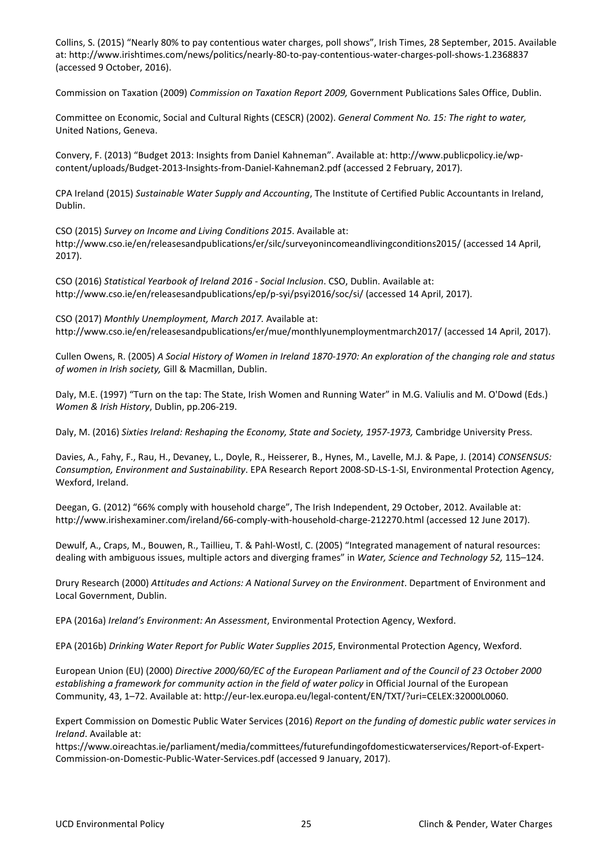Collins, S. (2015) "Nearly 80% to pay contentious water charges, poll shows", Irish Times, 28 September, 2015. Available at: http://www.irishtimes.com/news/politics/nearly-80-to-pay-contentious-water-charges-poll-shows-1.2368837 (accessed 9 October, 2016).

Commission on Taxation (2009) *Commission on Taxation Report 2009,* Government Publications Sales Office, Dublin.

Committee on Economic, Social and Cultural Rights (CESCR) (2002). *General Comment No. 15: The right to water,* United Nations, Geneva.

Convery, F. (2013) "Budget 2013: Insights from Daniel Kahneman". Available at: http://www.publicpolicy.ie/wpcontent/uploads/Budget-2013-Insights-from-Daniel-Kahneman2.pdf (accessed 2 February, 2017).

CPA Ireland (2015) *Sustainable Water Supply and Accounting*, The Institute of Certified Public Accountants in Ireland, Dublin.

CSO (2015) *Survey on Income and Living Conditions 2015*. Available at: http://www.cso.ie/en/releasesandpublications/er/silc/surveyonincomeandlivingconditions2015/ (accessed 14 April, 2017).

CSO (2016) *Statistical Yearbook of Ireland 2016 - Social Inclusion*. CSO, Dublin. Available at: http://www.cso.ie/en/releasesandpublications/ep/p-syi/psyi2016/soc/si/ (accessed 14 April, 2017).

CSO (2017) *Monthly Unemployment, March 2017.* Available at: http://www.cso.ie/en/releasesandpublications/er/mue/monthlyunemploymentmarch2017/ (accessed 14 April, 2017).

Cullen Owens, R. (2005) *A Social History of Women in Ireland 1870-1970: An exploration of the changing role and status of women in Irish society,* Gill & Macmillan, Dublin.

Daly, M.E. (1997) "Turn on the tap: The State, Irish Women and Running Water" in M.G. Valiulis and M. O'Dowd (Eds.) *Women & Irish History*, Dublin, pp.206-219.

Daly, M. (2016) *Sixties Ireland: Reshaping the Economy, State and Society, 1957-1973,* Cambridge University Press.

Davies, A., Fahy, F., Rau, H., Devaney, L., Doyle, R., Heisserer, B., Hynes, M., Lavelle, M.J. & Pape, J. (2014) *CONSENSUS: Consumption, Environment and Sustainability*. EPA Research Report 2008-SD-LS-1-SI, Environmental Protection Agency, Wexford, Ireland.

Deegan, G. (2012) "66% comply with household charge", The Irish Independent, 29 October, 2012. Available at: http://www.irishexaminer.com/ireland/66-comply-with-household-charge-212270.html (accessed 12 June 2017).

Dewulf, A., Craps, M., Bouwen, R., Taillieu, T. & Pahl-Wostl, C. (2005) "Integrated management of natural resources: dealing with ambiguous issues, multiple actors and diverging frames" in *Water, Science and Technology 52,* 115–124.

Drury Research (2000) *Attitudes and Actions: A National Survey on the Environment*. Department of Environment and Local Government, Dublin.

EPA (2016a) *Ireland's Environment: An Assessment*, Environmental Protection Agency, Wexford.

EPA (2016b) *Drinking Water Report for Public Water Supplies 2015*, Environmental Protection Agency, Wexford.

European Union (EU) (2000) *Directive 2000/60/EC of the European Parliament and of the Council of 23 October 2000*  establishing a framework for community action in the field of water policy in Official Journal of the European Community, 43, 1–72. Available at: http://eur-lex.europa.eu/legal-content/EN/TXT/?uri=CELEX:32000L0060.

Expert Commission on Domestic Public Water Services (2016) *Report on the funding of domestic public water services in Ireland*. Available at:

https://www.oireachtas.ie/parliament/media/committees/futurefundingofdomesticwaterservices/Report-of-Expert-Commission-on-Domestic-Public-Water-Services.pdf (accessed 9 January, 2017).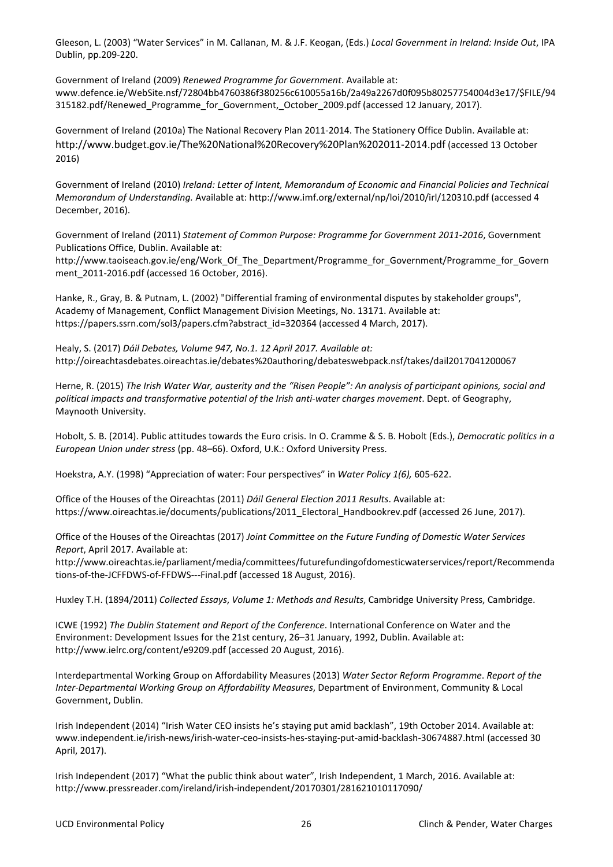Gleeson, L. (2003) "Water Services" in M. Callanan, M. & J.F. Keogan, (Eds.) *Local Government in Ireland: Inside Out*, IPA Dublin, pp.209-220.

Government of Ireland (2009) *Renewed Programme for Government*. Available at: www.defence.ie/WebSite.nsf/72804bb4760386f380256c610055a16b/2a49a2267d0f095b80257754004d3e17/\$FILE/94 315182.pdf/Renewed\_Programme\_for\_Government,\_October\_2009.pdf (accessed 12 January, 2017).

Government of Ireland (2010a) The National Recovery Plan 2011-2014. The Stationery Office Dublin. Available at: http://www.budget.gov.ie/The%20National%20Recovery%20Plan%202011-2014.pdf (accessed 13 October 2016)

Government of Ireland (2010) *Ireland: Letter of Intent, Memorandum of Economic and Financial Policies and Technical Memorandum of Understanding.* Available at: http://www.imf.org/external/np/loi/2010/irl/120310.pdf (accessed 4 December, 2016).

Government of Ireland (2011) *Statement of Common Purpose: Programme for Government 2011-2016*, Government Publications Office, Dublin. Available at:

http://www.taoiseach.gov.ie/eng/Work\_Of\_The\_Department/Programme\_for\_Government/Programme\_for\_Govern ment\_2011-2016.pdf (accessed 16 October, 2016).

Hanke, R., Gray, B. & Putnam, L. (2002) "Differential framing of environmental disputes by stakeholder groups", Academy of Management, Conflict Management Division Meetings, No. 13171. Available at: https://papers.ssrn.com/sol3/papers.cfm?abstract\_id=320364 (accessed 4 March, 2017).

Healy, S. (2017) *Dáil Debates, Volume 947, No.1. 12 April 2017. Available at:*  http://oireachtasdebates.oireachtas.ie/debates%20authoring/debateswebpack.nsf/takes/dail2017041200067

Herne, R. (2015) *The Irish Water War, austerity and the "Risen People": An analysis of participant opinions, social and political impacts and transformative potential of the Irish anti-water charges movement*. Dept. of Geography, Maynooth University.

Hobolt, S. B. (2014). Public attitudes towards the Euro crisis. In O. Cramme & S. B. Hobolt (Eds.), *Democratic politics in a European Union under stress* (pp. 48–66). Oxford, U.K.: Oxford University Press.

Hoekstra, A.Y. (1998) "Appreciation of water: Four perspectives" in *Water Policy 1(6),* 605-622.

Office of the Houses of the Oireachtas (2011) *Dáil General Election 2011 Results*. Available at: https://www.oireachtas.ie/documents/publications/2011\_Electoral\_Handbookrev.pdf (accessed 26 June, 2017).

Office of the Houses of the Oireachtas (2017) *Joint Committee on the Future Funding of Domestic Water Services Report*, April 2017. Available at:

http://www.oireachtas.ie/parliament/media/committees/futurefundingofdomesticwaterservices/report/Recommenda tions-of-the-JCFFDWS-of-FFDWS---Final.pdf (accessed 18 August, 2016).

Huxley T.H. (1894/2011) *Collected Essays*, *Volume 1: Methods and Results*, Cambridge University Press, Cambridge.

ICWE (1992) *The Dublin Statement and Report of the Conference*. International Conference on Water and the Environment: Development Issues for the 21st century, 26–31 January, 1992, Dublin. Available at: http://www.ielrc.org/content/e9209.pdf (accessed 20 August, 2016).

Interdepartmental Working Group on Affordability Measures (2013) *Water Sector Reform Programme*. *Report of the Inter-Departmental Working Group on Affordability Measures*, Department of Environment, Community & Local Government, Dublin.

Irish Independent (2014) "Irish Water CEO insists he's staying put amid backlash", 19th October 2014. Available at: www.independent.ie/irish-news/irish-water-ceo-insists-hes-staying-put-amid-backlash-30674887.html (accessed 30 April, 2017).

Irish Independent (2017) "What the public think about water", Irish Independent, 1 March, 2016. Available at: http://www.pressreader.com/ireland/irish-independent/20170301/281621010117090/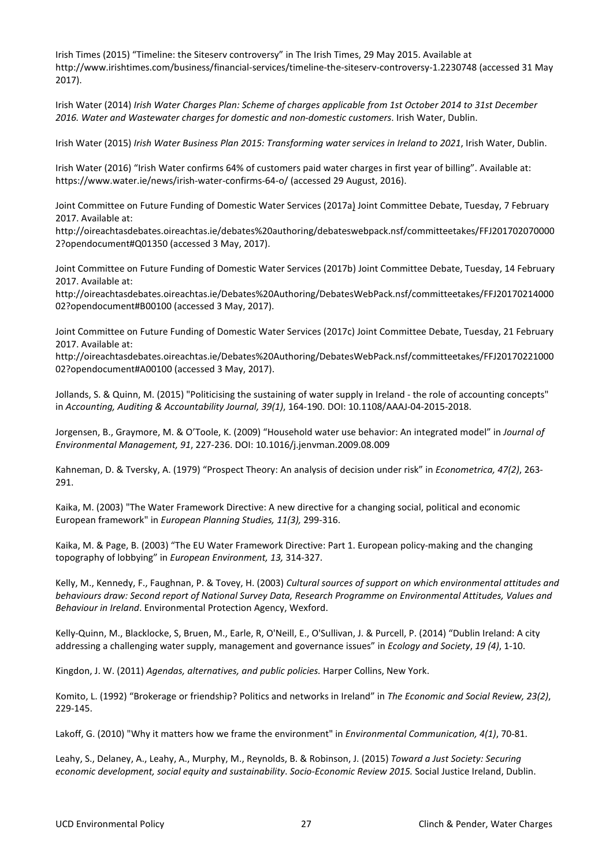Irish Times (2015) "Timeline: the Siteserv controversy" in The Irish Times, 29 May 2015. Available at http://www.irishtimes.com/business/financial-services/timeline-the-siteserv-controversy-1.2230748 (accessed 31 May 2017).

Irish Water (2014) *Irish Water Charges Plan: Scheme of charges applicable from 1st October 2014 to 31st December 2016. Water and Wastewater charges for domestic and non-domestic customers*. Irish Water, Dublin.

Irish Water (2015) *Irish Water Business Plan 2015: Transforming water services in Ireland to 2021*, Irish Water, Dublin.

Irish Water (2016) "Irish Water confirms 64% of customers paid water charges in first year of billing". Available at: https://www.water.ie/news/irish-water-confirms-64-o/ (accessed 29 August, 2016).

Joint Committee on Future Funding of Domestic Water Services (2017a) Joint Committee Debate, Tuesday, 7 February 2017. Available at:

http://oireachtasdebates.oireachtas.ie/debates%20authoring/debateswebpack.nsf/committeetakes/FFJ201702070000 2?opendocument#Q01350 (accessed 3 May, 2017).

Joint Committee on Future Funding of Domestic Water Services (2017b) Joint Committee Debate, Tuesday, 14 February 2017. Available at:

http://oireachtasdebates.oireachtas.ie/Debates%20Authoring/DebatesWebPack.nsf/committeetakes/FFJ20170214000 02?opendocument#B00100 (accessed 3 May, 2017).

Joint Committee on Future Funding of Domestic Water Services (2017c) Joint Committee Debate, Tuesday, 21 February 2017. Available at:

http://oireachtasdebates.oireachtas.ie/Debates%20Authoring/DebatesWebPack.nsf/committeetakes/FFJ20170221000 02?opendocument#A00100 (accessed 3 May, 2017).

Jollands, S. & Quinn, M. (2015) "Politicising the sustaining of water supply in Ireland - the role of accounting concepts" in *Accounting, Auditing & Accountability Journal, 39(1)*, 164-190. DOI: 10.1108/AAAJ-04-2015-2018.

Jorgensen, B., Graymore, M. & O'Toole, K. (2009) "Household water use behavior: An integrated model" in *Journal of Environmental Management, 91*, 227-236. DOI: 10.1016/j.jenvman.2009.08.009

Kahneman, D. & Tversky, A. (1979) "Prospect Theory: An analysis of decision under risk" in *Econometrica, 47(2)*, 263- 291.

Kaika, M. (2003) "The Water Framework Directive: A new directive for a changing social, political and economic European framework" in *European Planning Studies, 11(3),* 299-316.

Kaika, M. & Page, B. (2003) "The EU Water Framework Directive: Part 1. European policy-making and the changing topography of lobbying" in *European Environment, 13,* 314-327.

Kelly, M., Kennedy, F., Faughnan, P. & Tovey, H. (2003) *Cultural sources of support on which environmental attitudes and behaviours draw: Second report of National Survey Data, Research Programme on Environmental Attitudes, Values and Behaviour in Ireland*. Environmental Protection Agency, Wexford.

Kelly-Quinn, M., Blacklocke, S, Bruen, M., Earle, R, O'Neill, E., O'Sullivan, J. & Purcell, P. (2014) "Dublin Ireland: A city addressing a challenging water supply, management and governance issues" in *Ecology and Society*, *19 (4)*, 1-10.

Kingdon, J. W. (2011) *Agendas, alternatives, and public policies.* Harper Collins, New York.

Komito, L. (1992) "Brokerage or friendship? Politics and networks in Ireland" in *The Economic and Social Review, 23(2)*, 229-145.

Lakoff, G. (2010) "Why it matters how we frame the environment" in *Environmental Communication, 4(1)*, 70-81.

Leahy, S., Delaney, A., Leahy, A., Murphy, M., Reynolds, B. & Robinson, J. (2015) *Toward a Just Society: Securing economic development, social equity and sustainability*. *Socio-Economic Review 2015.* Social Justice Ireland, Dublin.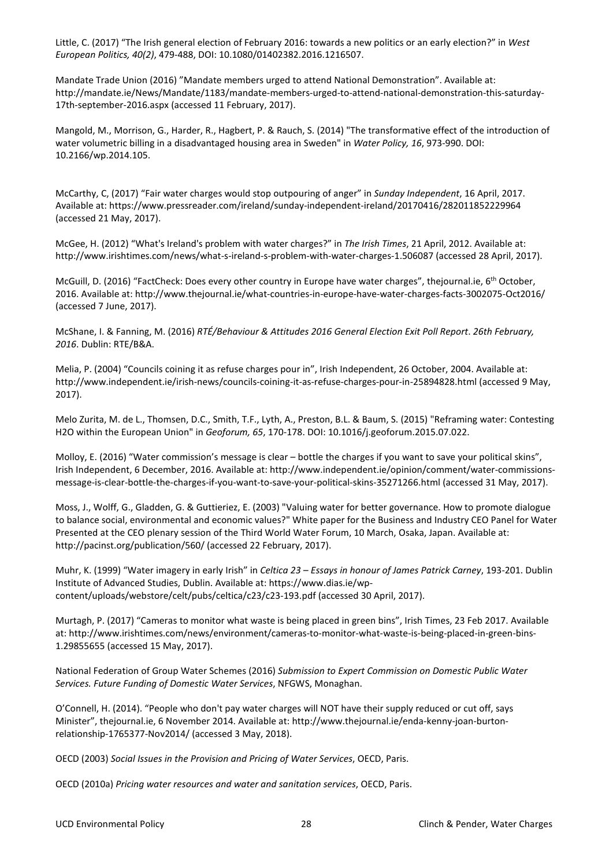Little, C. (2017) "The Irish general election of February 2016: towards a new politics or an early election?" in *West European Politics, 40(2)*, 479-488, DOI: 10.1080/01402382.2016.1216507.

Mandate Trade Union (2016) "Mandate members urged to attend National Demonstration". Available at: http://mandate.ie/News/Mandate/1183/mandate-members-urged-to-attend-national-demonstration-this-saturday-17th-september-2016.aspx (accessed 11 February, 2017).

Mangold, M., Morrison, G., Harder, R., Hagbert, P. & Rauch, S. (2014) "The transformative effect of the introduction of water volumetric billing in a disadvantaged housing area in Sweden" in *Water Policy, 16*, 973-990. DOI: 10.2166/wp.2014.105.

McCarthy, C, (2017) "Fair water charges would stop outpouring of anger" in *Sunday Independent*, 16 April, 2017. Available at: https://www.pressreader.com/ireland/sunday-independent-ireland/20170416/282011852229964 (accessed 21 May, 2017).

McGee, H. (2012) "What's Ireland's problem with water charges?" in *The Irish Times*, 21 April, 2012. Available at: http://www.irishtimes.com/news/what-s-ireland-s-problem-with-water-charges-1.506087 (accessed 28 April, 2017).

McGuill, D. (2016) "FactCheck: Does every other country in Europe have water charges", thejournal.ie, 6th October, 2016. Available at: http://www.thejournal.ie/what-countries-in-europe-have-water-charges-facts-3002075-Oct2016/ (accessed 7 June, 2017).

McShane, I. & Fanning, M. (2016) *RTÉ/Behaviour & Attitudes 2016 General Election Exit Poll Report*. *26th February, 2016*. Dublin: RTE/B&A.

Melia, P. (2004) "Councils coining it as refuse charges pour in", Irish Independent, 26 October, 2004. Available at: http://www.independent.ie/irish-news/councils-coining-it-as-refuse-charges-pour-in-25894828.html (accessed 9 May, 2017).

Melo Zurita, M. de L., Thomsen, D.C., Smith, T.F., Lyth, A., Preston, B.L. & Baum, S. (2015) "Reframing water: Contesting H2O within the European Union" in *Geoforum, 65*, 170-178. DOI: 10.1016/j.geoforum.2015.07.022.

Molloy, E. (2016) "Water commission's message is clear – bottle the charges if you want to save your political skins", Irish Independent, 6 December, 2016. Available at: http://www.independent.ie/opinion/comment/water-commissionsmessage-is-clear-bottle-the-charges-if-you-want-to-save-your-political-skins-35271266.html (accessed 31 May, 2017).

Moss, J., Wolff, G., Gladden, G. & Guttieriez, E. (2003) "Valuing water for better governance. How to promote dialogue to balance social, environmental and economic values?" White paper for the Business and Industry CEO Panel for Water Presented at the CEO plenary session of the Third World Water Forum, 10 March, Osaka, Japan. Available at: http://pacinst.org/publication/560/ (accessed 22 February, 2017).

Muhr, K. (1999) "Water imagery in early Irish" in *Celtica 23 – Essays in honour of James Patrick Carney*, 193-201. Dublin Institute of Advanced Studies, Dublin. Available at: https://www.dias.ie/wpcontent/uploads/webstore/celt/pubs/celtica/c23/c23-193.pdf (accessed 30 April, 2017).

Murtagh, P. (2017) "Cameras to monitor what waste is being placed in green bins", Irish Times, 23 Feb 2017. Available at: http://www.irishtimes.com/news/environment/cameras-to-monitor-what-waste-is-being-placed-in-green-bins-1.29855655 (accessed 15 May, 2017).

National Federation of Group Water Schemes (2016) *Submission to Expert Commission on Domestic Public Water Services. Future Funding of Domestic Water Services*, NFGWS, Monaghan.

O'Connell, H. (2014). "People who don't pay water charges will NOT have their supply reduced or cut off, says Minister", thejournal.ie, 6 November 2014. Available at: http://www.thejournal.ie/enda-kenny-joan-burtonrelationship-1765377-Nov2014/ (accessed 3 May, 2018).

OECD (2003) *Social Issues in the Provision and Pricing of Water Services*, OECD, Paris.

OECD (2010a) *Pricing water resources and water and sanitation services*, OECD, Paris.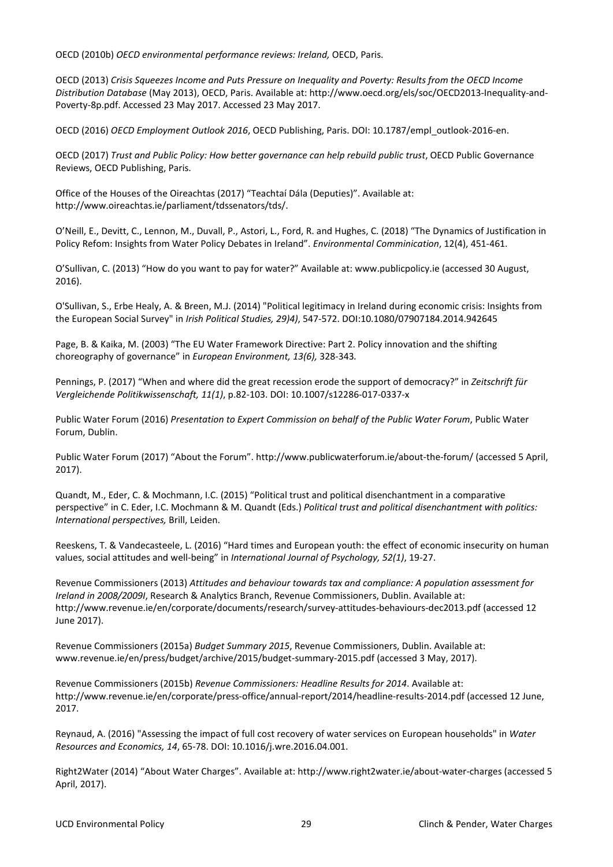OECD (2010b) *OECD environmental performance reviews: Ireland,* OECD, Paris.

OECD (2013) *Crisis Squeezes Income and Puts Pressure on Inequality and Poverty: Results from the OECD Income Distribution Database* (May 2013), OECD, Paris. Available at: http://www.oecd.org/els/soc/OECD2013-Inequality-and-Poverty-8p.pdf. Accessed 23 May 2017. Accessed 23 May 2017.

OECD (2016) *OECD Employment Outlook 2016*, OECD Publishing, Paris. DOI: 10.1787/empl\_outlook-2016-en.

OECD (2017) *Trust and Public Policy: How better governance can help rebuild public trust*, OECD Public Governance Reviews, OECD Publishing, Paris.

Office of the Houses of the Oireachtas (2017) "Teachtaí Dála (Deputies)". Available at: http://www.oireachtas.ie/parliament/tdssenators/tds/.

O'Neill, E., Devitt, C., Lennon, M., Duvall, P., Astori, L., Ford, R. and Hughes, C. (2018) "The Dynamics of Justification in Policy Refom: Insights from Water Policy Debates in Ireland". *Environmental Comminication*, 12(4), 451-461.

O'Sullivan, C. (2013) "How do you want to pay for water?" Available at: www.publicpolicy.ie (accessed 30 August, 2016).

O'Sullivan, S., Erbe Healy, A. & Breen, M.J. (2014) "Political legitimacy in Ireland during economic crisis: Insights from the European Social Survey" in *Irish Political Studies, 29)4)*, 547-572. DOI:10.1080/07907184.2014.942645

Page, B. & Kaika, M. (2003) "The EU Water Framework Directive: Part 2. Policy innovation and the shifting choreography of governance" in *European Environment, 13(6),* 328-343*.*

Pennings, P. (2017) "When and where did the great recession erode the support of democracy?" in *Zeitschrift für Vergleichende Politikwissenschaft, 11(1)*, p.82-103. DOI: 10.1007/s12286-017-0337-x

Public Water Forum (2016) *Presentation to Expert Commission on behalf of the Public Water Forum*, Public Water Forum, Dublin.

Public Water Forum (2017) "About the Forum". http://www.publicwaterforum.ie/about-the-forum/ (accessed 5 April, 2017).

Quandt, M., Eder, C. & Mochmann, I.C. (2015) "Political trust and political disenchantment in a comparative perspective" in C. Eder, I.C. Mochmann & M. Quandt (Eds.) *Political trust and political disenchantment with politics: International perspectives,* Brill, Leiden.

Reeskens, T. & Vandecasteele, L. (2016) "Hard times and European youth: the effect of economic insecurity on human values, social attitudes and well-being" in *International Journal of Psychology, 52(1)*, 19-27.

Revenue Commissioners (2013) *Attitudes and behaviour towards tax and compliance: A population assessment for Ireland in 2008/2009I*, Research & Analytics Branch, Revenue Commissioners, Dublin. Available at: http://www.revenue.ie/en/corporate/documents/research/survey-attitudes-behaviours-dec2013.pdf (accessed 12 June 2017).

Revenue Commissioners (2015a) *Budget Summary 2015*, Revenue Commissioners, Dublin. Available at: www.revenue.ie/en/press/budget/archive/2015/budget-summary-2015.pdf (accessed 3 May, 2017).

Revenue Commissioners (2015b) *Revenue Commissioners: Headline Results for 2014*. Available at: http://www.revenue.ie/en/corporate/press-office/annual-report/2014/headline-results-2014.pdf (accessed 12 June, 2017.

Reynaud, A. (2016) "Assessing the impact of full cost recovery of water services on European households" in *Water Resources and Economics, 14*, 65-78. DOI: 10.1016/j.wre.2016.04.001.

Right2Water (2014) "About Water Charges". Available at: http://www.right2water.ie/about-water-charges (accessed 5 April, 2017).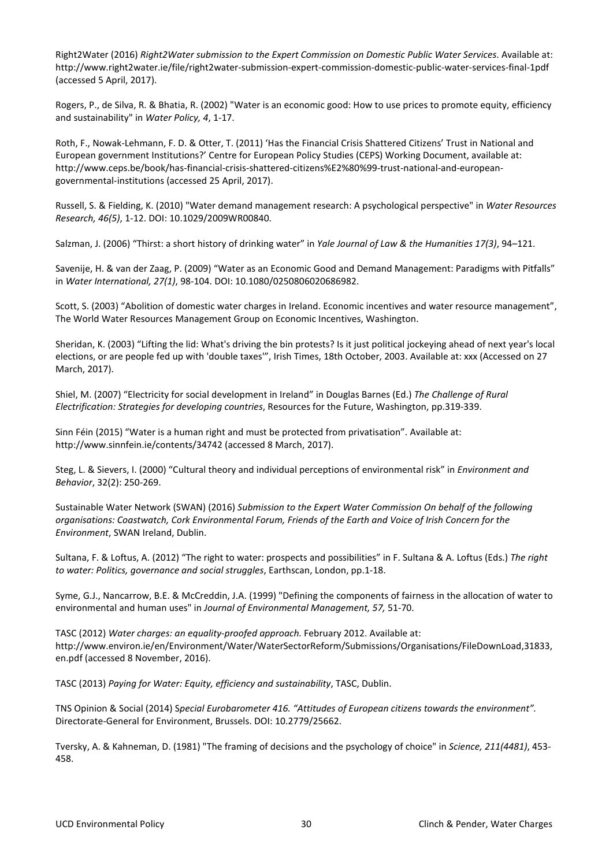Right2Water (2016) *Right2Water submission to the Expert Commission on Domestic Public Water Services*. Available at: http://www.right2water.ie/file/right2water-submission-expert-commission-domestic-public-water-services-final-1pdf (accessed 5 April, 2017).

Rogers, P., de Silva, R. & Bhatia, R. (2002) "Water is an economic good: How to use prices to promote equity, efficiency and sustainability" in *Water Policy, 4*, 1-17.

Roth, F., Nowak-Lehmann, F. D. & Otter, T. (2011) 'Has the Financial Crisis Shattered Citizens' Trust in National and European government Institutions?' Centre for European Policy Studies (CEPS) Working Document, available at: http://www.ceps.be/book/has-financial-crisis-shattered-citizens%E2%80%99-trust-national-and-europeangovernmental-institutions (accessed 25 April, 2017).

Russell, S. & Fielding, K. (2010) "Water demand management research: A psychological perspective" in *Water Resources Research, 46(5)*, 1-12. DOI: 10.1029/2009WR00840.

Salzman, J. (2006) "Thirst: a short history of drinking water" in *Yale Journal of Law & the Humanities 17(3)*, 94–121.

Savenije, H. & van der Zaag, P. (2009) "Water as an Economic Good and Demand Management: Paradigms with Pitfalls" in *Water International, 27(1)*, 98-104. DOI: 10.1080/0250806020686982.

Scott, S. (2003) "Abolition of domestic water charges in Ireland. Economic incentives and water resource management", The World Water Resources Management Group on Economic Incentives, Washington.

Sheridan, K. (2003) "Lifting the lid: What's driving the bin protests? Is it just political jockeying ahead of next year's local elections, or are people fed up with 'double taxes'", Irish Times, 18th October, 2003. Available at: xxx (Accessed on 27 March, 2017).

Shiel, M. (2007) "Electricity for social development in Ireland" in Douglas Barnes (Ed.) *The Challenge of Rural Electrification: Strategies for developing countries*, Resources for the Future, Washington, pp.319-339.

Sinn Féin (2015) "Water is a human right and must be protected from privatisation". Available at: http://www.sinnfein.ie/contents/34742 (accessed 8 March, 2017).

Steg, L. & Sievers, I. (2000) "Cultural theory and individual perceptions of environmental risk" in *Environment and Behavior*, 32(2): 250-269.

Sustainable Water Network (SWAN) (2016) *Submission to the Expert Water Commission On behalf of the following organisations: Coastwatch, Cork Environmental Forum, Friends of the Earth and Voice of Irish Concern for the Environment*, SWAN Ireland, Dublin.

Sultana, F. & Loftus, A. (2012) "The right to water: prospects and possibilities" in F. Sultana & A. Loftus (Eds.) *The right to water: Politics, governance and social struggles*, Earthscan, London, pp.1-18.

Syme, G.J., Nancarrow, B.E. & McCreddin, J.A. (1999) "Defining the components of fairness in the allocation of water to environmental and human uses" in *Journal of Environmental Management, 57,* 51-70.

TASC (2012) *Water charges: an equality-proofed approach.* February 2012. Available at: http://www.environ.ie/en/Environment/Water/WaterSectorReform/Submissions/Organisations/FileDownLoad,31833, en.pdf (accessed 8 November, 2016).

TASC (2013) *Paying for Water: Equity, efficiency and sustainability*, TASC, Dublin.

TNS Opinion & Social (2014) S*pecial Eurobarometer 416. "Attitudes of European citizens towards the environment".*  Directorate-General for Environment, Brussels. DOI: 10.2779/25662.

Tversky, A. & Kahneman, D. (1981) "The framing of decisions and the psychology of choice" in *Science, 211(4481)*, 453- 458.